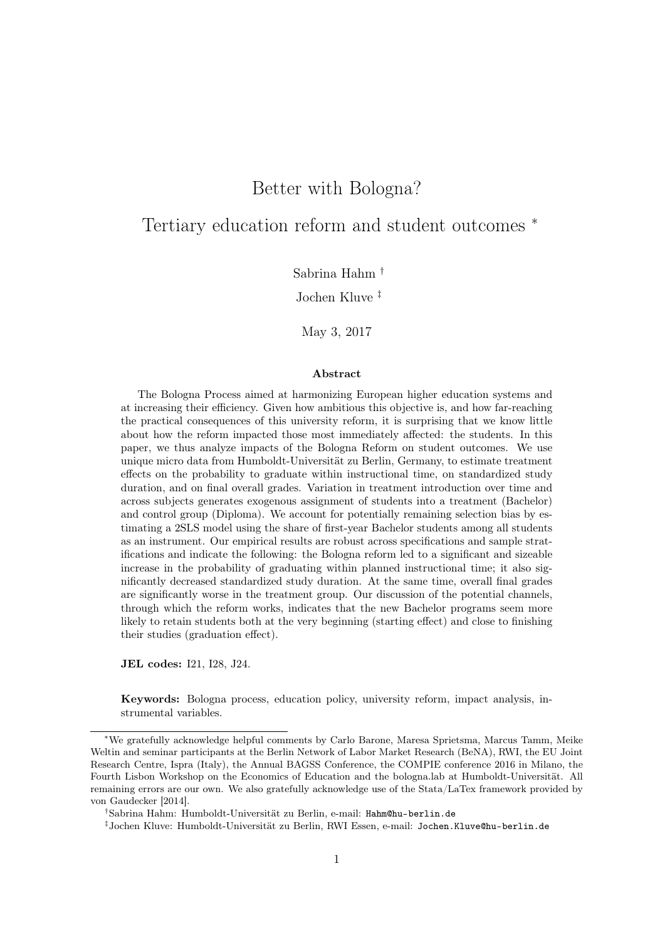# Better with Bologna?

## Tertiary education reform and student outcomes <sup>∗</sup>

Sabrina Hahm †

Jochen Kluve ‡

May 3, 2017

#### Abstract

The Bologna Process aimed at harmonizing European higher education systems and at increasing their efficiency. Given how ambitious this objective is, and how far-reaching the practical consequences of this university reform, it is surprising that we know little about how the reform impacted those most immediately affected: the students. In this paper, we thus analyze impacts of the Bologna Reform on student outcomes. We use unique micro data from Humboldt-Universität zu Berlin, Germany, to estimate treatment effects on the probability to graduate within instructional time, on standardized study duration, and on final overall grades. Variation in treatment introduction over time and across subjects generates exogenous assignment of students into a treatment (Bachelor) and control group (Diploma). We account for potentially remaining selection bias by estimating a 2SLS model using the share of first-year Bachelor students among all students as an instrument. Our empirical results are robust across specifications and sample stratifications and indicate the following: the Bologna reform led to a significant and sizeable increase in the probability of graduating within planned instructional time; it also significantly decreased standardized study duration. At the same time, overall final grades are significantly worse in the treatment group. Our discussion of the potential channels, through which the reform works, indicates that the new Bachelor programs seem more likely to retain students both at the very beginning (starting effect) and close to finishing their studies (graduation effect).

JEL codes: I21, I28, J24.

Keywords: Bologna process, education policy, university reform, impact analysis, instrumental variables.

<sup>∗</sup>We gratefully acknowledge helpful comments by Carlo Barone, Maresa Sprietsma, Marcus Tamm, Meike Weltin and seminar participants at the Berlin Network of Labor Market Research (BeNA), RWI, the EU Joint Research Centre, Ispra (Italy), the Annual BAGSS Conference, the COMPIE conference 2016 in Milano, the Fourth Lisbon Workshop on the Economics of Education and the bologna.lab at Humboldt-Universität. All remaining errors are our own. We also gratefully acknowledge use of the Stata/LaTex framework provided by von Gaudecker [\[2014\]](#page-38-0).

<sup>†</sup>Sabrina Hahm: Humboldt-Universität zu Berlin, e-mail: [Hahm@hu-berlin.de](mailto:Hahm@hu-berlin.de)

<sup>‡</sup> Jochen Kluve: Humboldt-Universität zu Berlin, RWI Essen, e-mail: [Jochen.Kluve@hu-berlin.de](mailto:Jochen.Kluve@hu-berlin.de)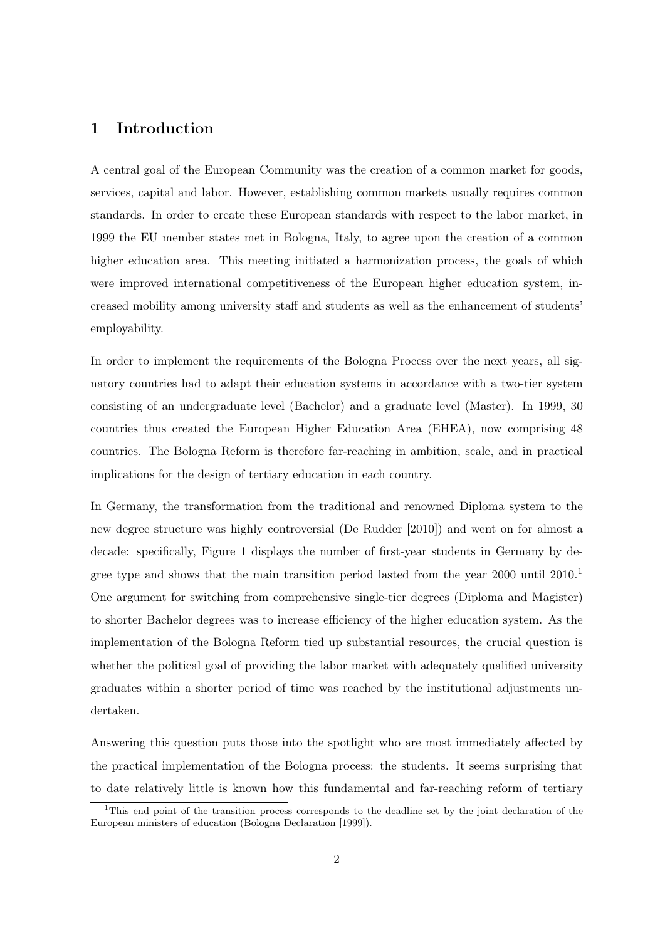## 1 Introduction

A central goal of the European Community was the creation of a common market for goods, services, capital and labor. However, establishing common markets usually requires common standards. In order to create these European standards with respect to the labor market, in 1999 the EU member states met in Bologna, Italy, to agree upon the creation of a common higher education area. This meeting initiated a harmonization process, the goals of which were improved international competitiveness of the European higher education system, increased mobility among university staff and students as well as the enhancement of students' employability.

In order to implement the requirements of the Bologna Process over the next years, all signatory countries had to adapt their education systems in accordance with a two-tier system consisting of an undergraduate level (Bachelor) and a graduate level (Master). In 1999, 30 countries thus created the European Higher Education Area (EHEA), now comprising 48 countries. The Bologna Reform is therefore far-reaching in ambition, scale, and in practical implications for the design of tertiary education in each country.

In Germany, the transformation from the traditional and renowned Diploma system to the new degree structure was highly controversial (De Rudder [\[2010\]](#page-38-1)) and went on for almost a decade: specifically, Figure [1](#page-2-0) displays the number of first-year students in Germany by degree type and shows that the main transition period lasted from the year  $2000$  until  $2010<sup>1</sup>$  $2010<sup>1</sup>$  $2010<sup>1</sup>$ One argument for switching from comprehensive single-tier degrees (Diploma and Magister) to shorter Bachelor degrees was to increase efficiency of the higher education system. As the implementation of the Bologna Reform tied up substantial resources, the crucial question is whether the political goal of providing the labor market with adequately qualified university graduates within a shorter period of time was reached by the institutional adjustments undertaken.

Answering this question puts those into the spotlight who are most immediately affected by the practical implementation of the Bologna process: the students. It seems surprising that to date relatively little is known how this fundamental and far-reaching reform of tertiary

<span id="page-1-0"></span><sup>&</sup>lt;sup>1</sup>This end point of the transition process corresponds to the deadline set by the joint declaration of the European ministers of education (Bologna Declaration [\[1999\]](#page-38-2)).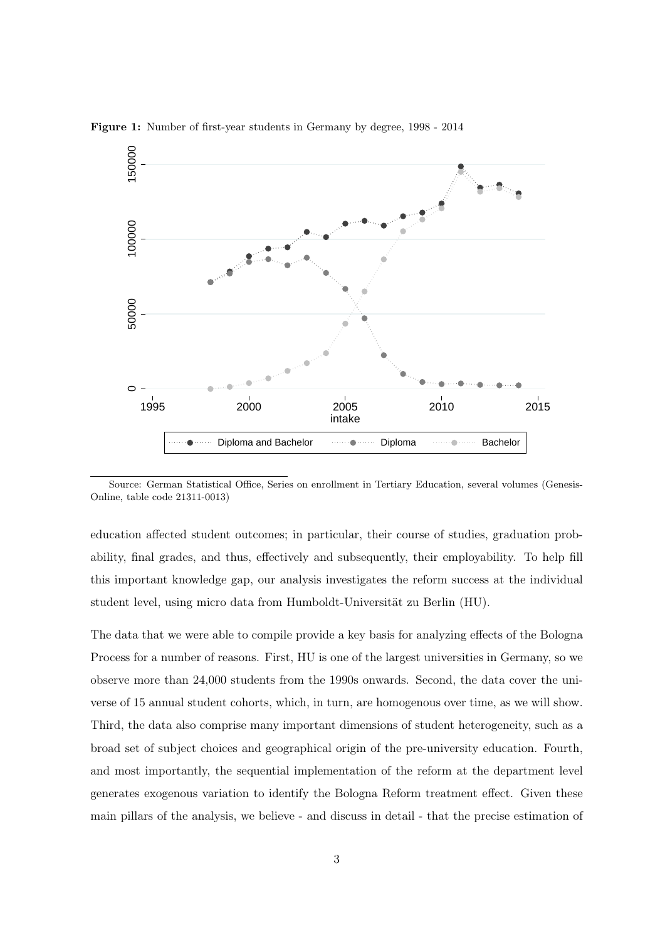

<span id="page-2-0"></span>Figure 1: Number of first-year students in Germany by degree, 1998 - 2014

education affected student outcomes; in particular, their course of studies, graduation probability, final grades, and thus, effectively and subsequently, their employability. To help fill this important knowledge gap, our analysis investigates the reform success at the individual student level, using micro data from Humboldt-Universität zu Berlin (HU).

The data that we were able to compile provide a key basis for analyzing effects of the Bologna Process for a number of reasons. First, HU is one of the largest universities in Germany, so we observe more than 24,000 students from the 1990s onwards. Second, the data cover the universe of 15 annual student cohorts, which, in turn, are homogenous over time, as we will show. Third, the data also comprise many important dimensions of student heterogeneity, such as a broad set of subject choices and geographical origin of the pre-university education. Fourth, and most importantly, the sequential implementation of the reform at the department level generates exogenous variation to identify the Bologna Reform treatment effect. Given these main pillars of the analysis, we believe - and discuss in detail - that the precise estimation of

Source: German Statistical Office, Series on enrollment in Tertiary Education, several volumes (Genesis-Online, table code 21311-0013)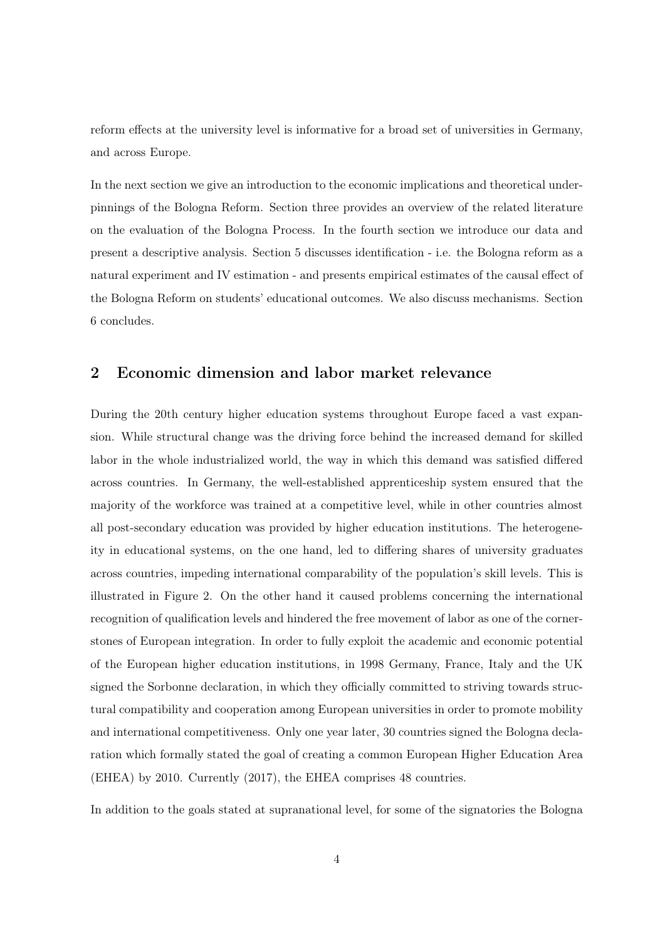reform effects at the university level is informative for a broad set of universities in Germany, and across Europe.

In the next section we give an introduction to the economic implications and theoretical underpinnings of the Bologna Reform. Section three provides an overview of the related literature on the evaluation of the Bologna Process. In the fourth section we introduce our data and present a descriptive analysis. Section 5 discusses identification - i.e. the Bologna reform as a natural experiment and IV estimation - and presents empirical estimates of the causal effect of the Bologna Reform on students' educational outcomes. We also discuss mechanisms. Section 6 concludes.

## 2 Economic dimension and labor market relevance

During the 20th century higher education systems throughout Europe faced a vast expansion. While structural change was the driving force behind the increased demand for skilled labor in the whole industrialized world, the way in which this demand was satisfied differed across countries. In Germany, the well-established apprenticeship system ensured that the majority of the workforce was trained at a competitive level, while in other countries almost all post-secondary education was provided by higher education institutions. The heterogeneity in educational systems, on the one hand, led to differing shares of university graduates across countries, impeding international comparability of the population's skill levels. This is illustrated in Figure [2.](#page-4-0) On the other hand it caused problems concerning the international recognition of qualification levels and hindered the free movement of labor as one of the cornerstones of European integration. In order to fully exploit the academic and economic potential of the European higher education institutions, in 1998 Germany, France, Italy and the UK signed the Sorbonne declaration, in which they officially committed to striving towards structural compatibility and cooperation among European universities in order to promote mobility and international competitiveness. Only one year later, 30 countries signed the Bologna declaration which formally stated the goal of creating a common European Higher Education Area (EHEA) by 2010. Currently (2017), the EHEA comprises 48 countries.

In addition to the goals stated at supranational level, for some of the signatories the Bologna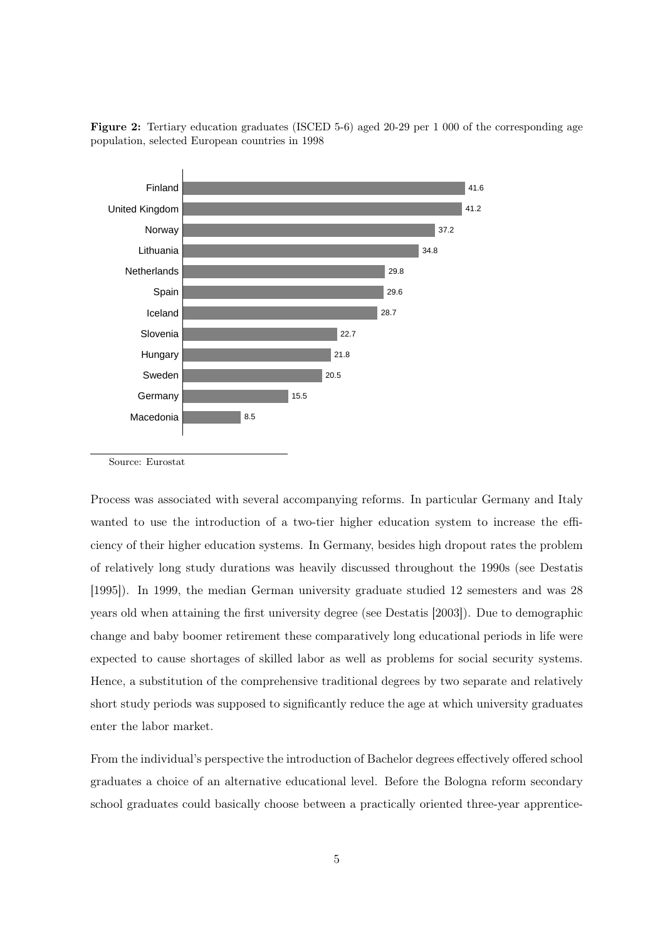

<span id="page-4-0"></span>Figure 2: Tertiary education graduates (ISCED 5-6) aged 20-29 per 1 000 of the corresponding age population, selected European countries in 1998

Source: Eurostat

Process was associated with several accompanying reforms. In particular Germany and Italy wanted to use the introduction of a two-tier higher education system to increase the efficiency of their higher education systems. In Germany, besides high dropout rates the problem of relatively long study durations was heavily discussed throughout the 1990s (see Destatis [\[1995\]](#page-38-3)). In 1999, the median German university graduate studied 12 semesters and was 28 years old when attaining the first university degree (see Destatis [\[2003\]](#page-38-4)). Due to demographic change and baby boomer retirement these comparatively long educational periods in life were expected to cause shortages of skilled labor as well as problems for social security systems. Hence, a substitution of the comprehensive traditional degrees by two separate and relatively short study periods was supposed to significantly reduce the age at which university graduates enter the labor market.

From the individual's perspective the introduction of Bachelor degrees effectively offered school graduates a choice of an alternative educational level. Before the Bologna reform secondary school graduates could basically choose between a practically oriented three-year apprentice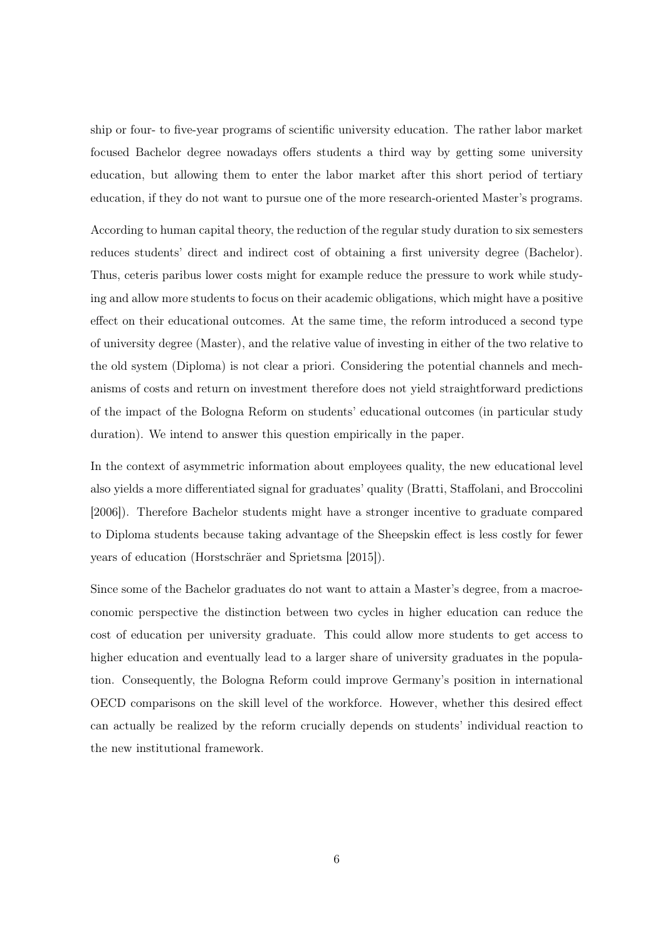ship or four- to five-year programs of scientific university education. The rather labor market focused Bachelor degree nowadays offers students a third way by getting some university education, but allowing them to enter the labor market after this short period of tertiary education, if they do not want to pursue one of the more research-oriented Master's programs.

According to human capital theory, the reduction of the regular study duration to six semesters reduces students' direct and indirect cost of obtaining a first university degree (Bachelor). Thus, ceteris paribus lower costs might for example reduce the pressure to work while studying and allow more students to focus on their academic obligations, which might have a positive effect on their educational outcomes. At the same time, the reform introduced a second type of university degree (Master), and the relative value of investing in either of the two relative to the old system (Diploma) is not clear a priori. Considering the potential channels and mechanisms of costs and return on investment therefore does not yield straightforward predictions of the impact of the Bologna Reform on students' educational outcomes (in particular study duration). We intend to answer this question empirically in the paper.

In the context of asymmetric information about employees quality, the new educational level also yields a more differentiated signal for graduates' quality (Bratti, Staffolani, and Broccolini [\[2006\]](#page-38-5)). Therefore Bachelor students might have a stronger incentive to graduate compared to Diploma students because taking advantage of the Sheepskin effect is less costly for fewer years of education (Horstschräer and Sprietsma [\[2015\]](#page-39-0)).

Since some of the Bachelor graduates do not want to attain a Master's degree, from a macroeconomic perspective the distinction between two cycles in higher education can reduce the cost of education per university graduate. This could allow more students to get access to higher education and eventually lead to a larger share of university graduates in the population. Consequently, the Bologna Reform could improve Germany's position in international OECD comparisons on the skill level of the workforce. However, whether this desired effect can actually be realized by the reform crucially depends on students' individual reaction to the new institutional framework.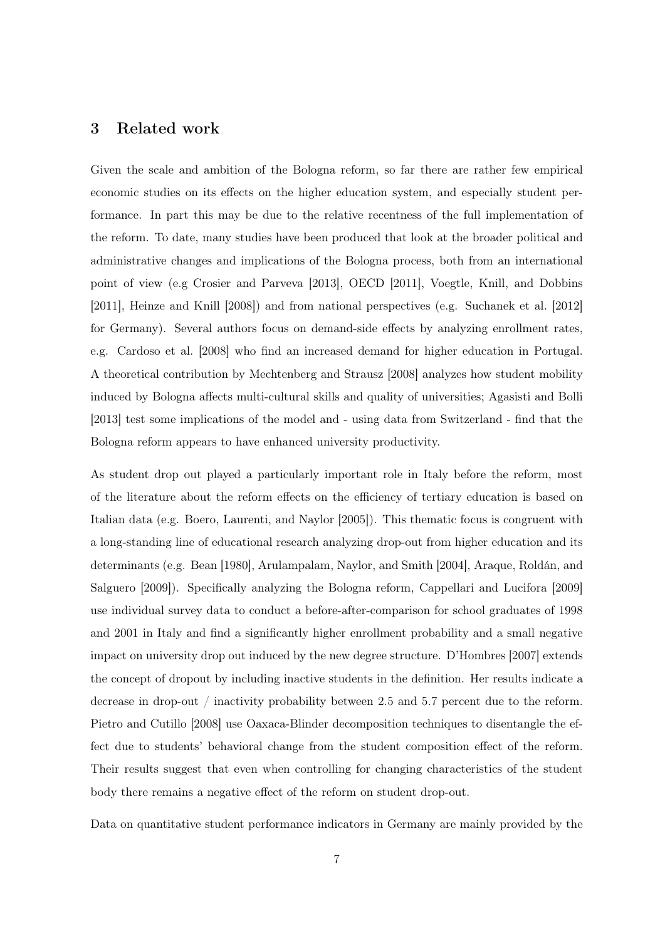## 3 Related work

Given the scale and ambition of the Bologna reform, so far there are rather few empirical economic studies on its effects on the higher education system, and especially student performance. In part this may be due to the relative recentness of the full implementation of the reform. To date, many studies have been produced that look at the broader political and administrative changes and implications of the Bologna process, both from an international point of view (e.g Crosier and Parveva [\[2013\]](#page-38-6), OECD [\[2011\]](#page-39-1), Voegtle, Knill, and Dobbins [\[2011\]](#page-39-2), Heinze and Knill [\[2008\]](#page-39-3)) and from national perspectives (e.g. Suchanek et al. [\[2012\]](#page-39-4) for Germany). Several authors focus on demand-side effects by analyzing enrollment rates, e.g. Cardoso et al. [\[2008\]](#page-38-7) who find an increased demand for higher education in Portugal. A theoretical contribution by Mechtenberg and Strausz [\[2008\]](#page-39-5) analyzes how student mobility induced by Bologna affects multi-cultural skills and quality of universities; Agasisti and Bolli [\[2013\]](#page-38-8) test some implications of the model and - using data from Switzerland - find that the Bologna reform appears to have enhanced university productivity.

As student drop out played a particularly important role in Italy before the reform, most of the literature about the reform effects on the efficiency of tertiary education is based on Italian data (e.g. Boero, Laurenti, and Naylor [\[2005\]](#page-38-9)). This thematic focus is congruent with a long-standing line of educational research analyzing drop-out from higher education and its determinants (e.g. Bean [\[1980\]](#page-38-10), Arulampalam, Naylor, and Smith [\[2004\]](#page-38-11), Araque, Roldán, and Salguero [\[2009\]](#page-38-12)). Specifically analyzing the Bologna reform, Cappellari and Lucifora [\[2009\]](#page-38-13) use individual survey data to conduct a before-after-comparison for school graduates of 1998 and 2001 in Italy and find a significantly higher enrollment probability and a small negative impact on university drop out induced by the new degree structure. D'Hombres [\[2007\]](#page-38-14) extends the concept of dropout by including inactive students in the definition. Her results indicate a decrease in drop-out / inactivity probability between 2.5 and 5.7 percent due to the reform. Pietro and Cutillo [\[2008\]](#page-39-6) use Oaxaca-Blinder decomposition techniques to disentangle the effect due to students' behavioral change from the student composition effect of the reform. Their results suggest that even when controlling for changing characteristics of the student body there remains a negative effect of the reform on student drop-out.

Data on quantitative student performance indicators in Germany are mainly provided by the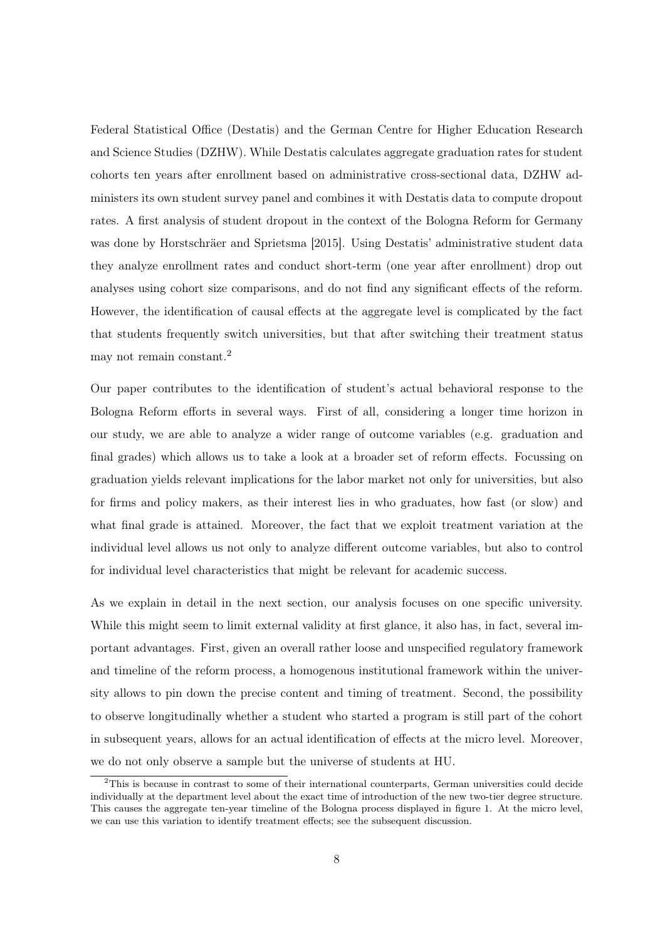Federal Statistical Office (Destatis) and the German Centre for Higher Education Research and Science Studies (DZHW). While Destatis calculates aggregate graduation rates for student cohorts ten years after enrollment based on administrative cross-sectional data, DZHW administers its own student survey panel and combines it with Destatis data to compute dropout rates. A first analysis of student dropout in the context of the Bologna Reform for Germany was done by Horstschräer and Sprietsma [\[2015\]](#page-39-0). Using Destatis' administrative student data they analyze enrollment rates and conduct short-term (one year after enrollment) drop out analyses using cohort size comparisons, and do not find any significant effects of the reform. However, the identification of causal effects at the aggregate level is complicated by the fact that students frequently switch universities, but that after switching their treatment status may not remain constant.<sup>[2](#page-7-0)</sup>

Our paper contributes to the identification of student's actual behavioral response to the Bologna Reform efforts in several ways. First of all, considering a longer time horizon in our study, we are able to analyze a wider range of outcome variables (e.g. graduation and final grades) which allows us to take a look at a broader set of reform effects. Focussing on graduation yields relevant implications for the labor market not only for universities, but also for firms and policy makers, as their interest lies in who graduates, how fast (or slow) and what final grade is attained. Moreover, the fact that we exploit treatment variation at the individual level allows us not only to analyze different outcome variables, but also to control for individual level characteristics that might be relevant for academic success.

As we explain in detail in the next section, our analysis focuses on one specific university. While this might seem to limit external validity at first glance, it also has, in fact, several important advantages. First, given an overall rather loose and unspecified regulatory framework and timeline of the reform process, a homogenous institutional framework within the university allows to pin down the precise content and timing of treatment. Second, the possibility to observe longitudinally whether a student who started a program is still part of the cohort in subsequent years, allows for an actual identification of effects at the micro level. Moreover, we do not only observe a sample but the universe of students at HU.

<span id="page-7-0"></span><sup>2</sup>This is because in contrast to some of their international counterparts, German universities could decide individually at the department level about the exact time of introduction of the new two-tier degree structure. This causes the aggregate ten-year timeline of the Bologna process displayed in figure [1.](#page-2-0) At the micro level, we can use this variation to identify treatment effects; see the subsequent discussion.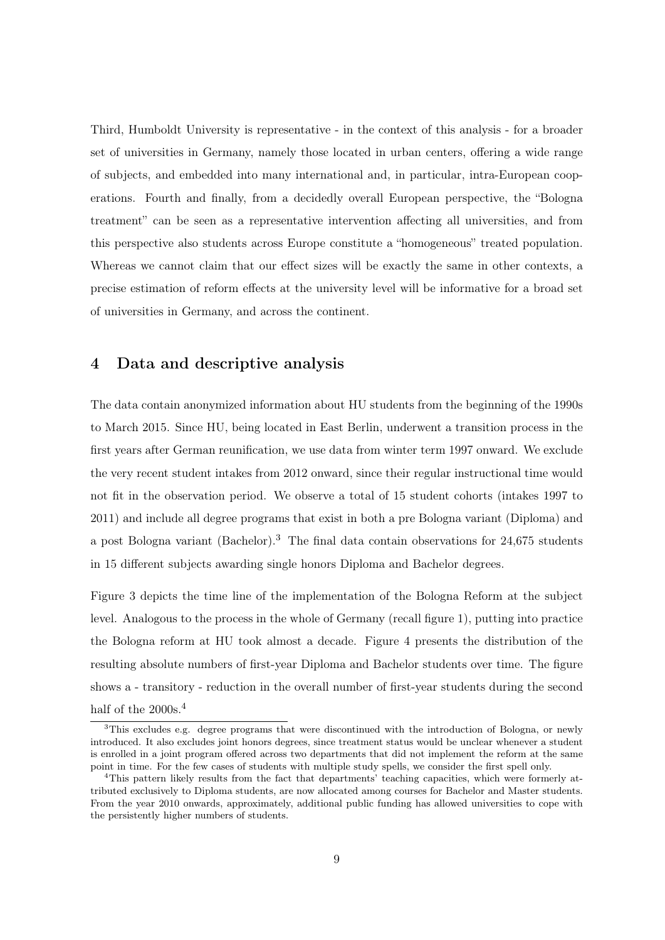Third, Humboldt University is representative - in the context of this analysis - for a broader set of universities in Germany, namely those located in urban centers, offering a wide range of subjects, and embedded into many international and, in particular, intra-European cooperations. Fourth and finally, from a decidedly overall European perspective, the "Bologna treatment" can be seen as a representative intervention affecting all universities, and from this perspective also students across Europe constitute a "homogeneous" treated population. Whereas we cannot claim that our effect sizes will be exactly the same in other contexts, a precise estimation of reform effects at the university level will be informative for a broad set of universities in Germany, and across the continent.

## 4 Data and descriptive analysis

The data contain anonymized information about HU students from the beginning of the 1990s to March 2015. Since HU, being located in East Berlin, underwent a transition process in the first years after German reunification, we use data from winter term 1997 onward. We exclude the very recent student intakes from 2012 onward, since their regular instructional time would not fit in the observation period. We observe a total of 15 student cohorts (intakes 1997 to 2011) and include all degree programs that exist in both a pre Bologna variant (Diploma) and a post Bologna variant (Bachelor).<sup>[3](#page-8-0)</sup> The final data contain observations for  $24,675$  students in 15 different subjects awarding single honors Diploma and Bachelor degrees.

Figure [3](#page-9-0) depicts the time line of the implementation of the Bologna Reform at the subject level. Analogous to the process in the whole of Germany (recall figure [1\)](#page-2-0), putting into practice the Bologna reform at HU took almost a decade. Figure [4](#page-10-0) presents the distribution of the resulting absolute numbers of first-year Diploma and Bachelor students over time. The figure shows a - transitory - reduction in the overall number of first-year students during the second half of the  $2000s<sup>4</sup>$  $2000s<sup>4</sup>$  $2000s<sup>4</sup>$ 

<span id="page-8-0"></span><sup>&</sup>lt;sup>3</sup>This excludes e.g. degree programs that were discontinued with the introduction of Bologna, or newly introduced. It also excludes joint honors degrees, since treatment status would be unclear whenever a student is enrolled in a joint program offered across two departments that did not implement the reform at the same point in time. For the few cases of students with multiple study spells, we consider the first spell only.

<span id="page-8-1"></span><sup>4</sup>This pattern likely results from the fact that departments' teaching capacities, which were formerly attributed exclusively to Diploma students, are now allocated among courses for Bachelor and Master students. From the year 2010 onwards, approximately, additional public funding has allowed universities to cope with the persistently higher numbers of students.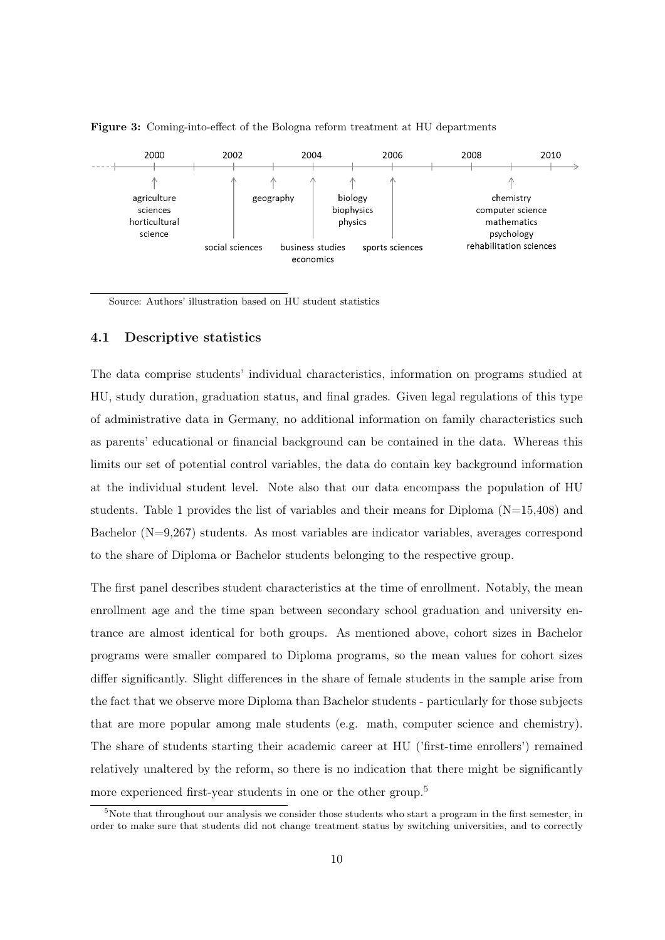

#### <span id="page-9-0"></span>Figure 3: Coming-into-effect of the Bologna reform treatment at HU departments

Source: Authors' illustration based on HU student statistics

#### 4.1 Descriptive statistics

The data comprise students' individual characteristics, information on programs studied at HU, study duration, graduation status, and final grades. Given legal regulations of this type of administrative data in Germany, no additional information on family characteristics such as parents' educational or financial background can be contained in the data. Whereas this limits our set of potential control variables, the data do contain key background information at the individual student level. Note also that our data encompass the population of HU students. Table [1](#page-11-0) provides the list of variables and their means for Diploma  $(N=15,408)$  and Bachelor (N=9,267) students. As most variables are indicator variables, averages correspond to the share of Diploma or Bachelor students belonging to the respective group.

The first panel describes student characteristics at the time of enrollment. Notably, the mean enrollment age and the time span between secondary school graduation and university entrance are almost identical for both groups. As mentioned above, cohort sizes in Bachelor programs were smaller compared to Diploma programs, so the mean values for cohort sizes differ significantly. Slight differences in the share of female students in the sample arise from the fact that we observe more Diploma than Bachelor students - particularly for those subjects that are more popular among male students (e.g. math, computer science and chemistry). The share of students starting their academic career at HU ('first-time enrollers') remained relatively unaltered by the reform, so there is no indication that there might be significantly more experienced first-year students in one or the other group.<sup>[5](#page-9-1)</sup>

<span id="page-9-1"></span> $5$ Note that throughout our analysis we consider those students who start a program in the first semester, in order to make sure that students did not change treatment status by switching universities, and to correctly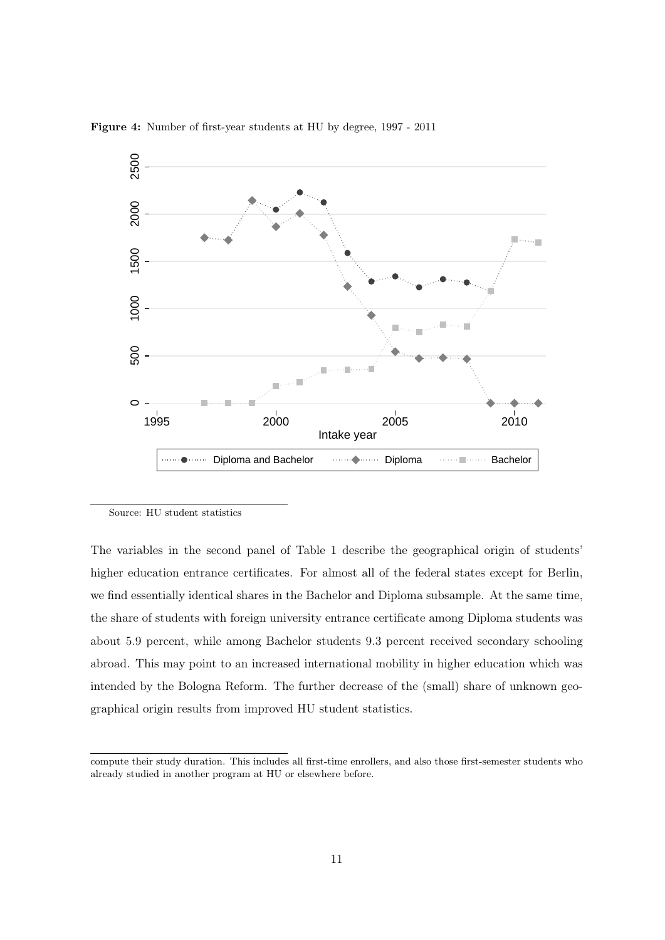

<span id="page-10-0"></span>Figure 4: Number of first-year students at HU by degree, 1997 - 2011

The variables in the second panel of Table [1](#page-11-0) describe the geographical origin of students' higher education entrance certificates. For almost all of the federal states except for Berlin, we find essentially identical shares in the Bachelor and Diploma subsample. At the same time, the share of students with foreign university entrance certificate among Diploma students was about 5.9 percent, while among Bachelor students 9.3 percent received secondary schooling abroad. This may point to an increased international mobility in higher education which was intended by the Bologna Reform. The further decrease of the (small) share of unknown geographical origin results from improved HU student statistics.

Source: HU student statistics

compute their study duration. This includes all first-time enrollers, and also those first-semester students who already studied in another program at HU or elsewhere before.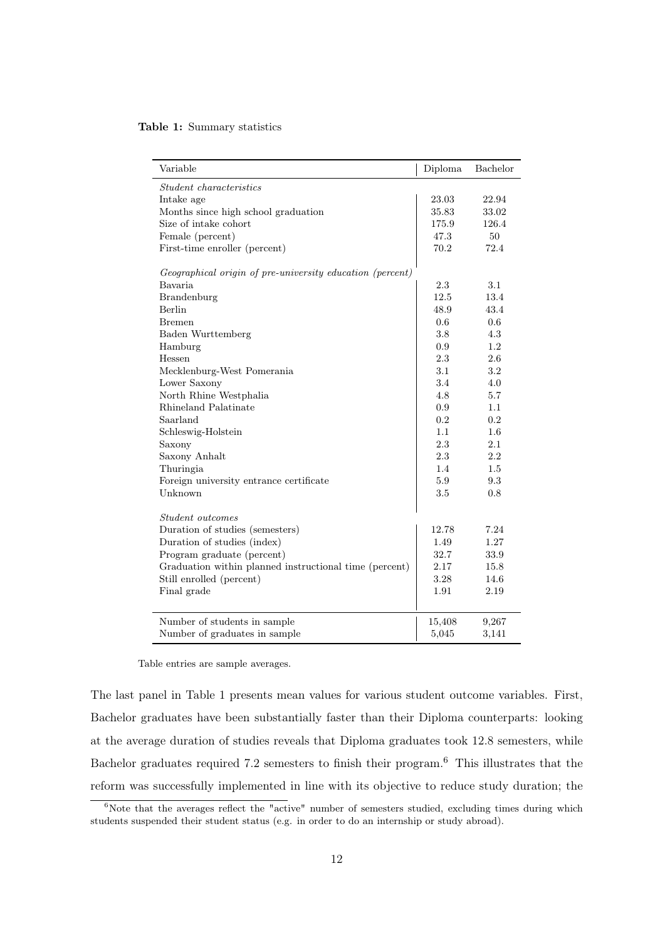#### <span id="page-11-0"></span>Table 1: Summary statistics

| Variable                                                  | Diploma | Bachelor |
|-----------------------------------------------------------|---------|----------|
| Student characteristics                                   |         |          |
| Intake age                                                | 23.03   | 22.94    |
| Months since high school graduation                       | 35.83   | 33.02    |
| Size of intake cohort                                     | 175.9   | 126.4    |
| Female (percent)                                          | 47.3    | 50       |
| First-time enroller (percent)                             | 70.2    | 72.4     |
| Geographical origin of pre-university education (percent) |         |          |
| Bavaria                                                   | 2.3     | 3.1      |
| Brandenburg                                               | 12.5    | 13.4     |
| Berlin                                                    | 48.9    | 43.4     |
| Bremen                                                    | 0.6     | 0.6      |
| <b>Baden Wurttemberg</b>                                  | 3.8     | 4.3      |
| Hamburg                                                   | 0.9     | 1.2      |
| Hessen                                                    | 2.3     | 2.6      |
| Mecklenburg-West Pomerania                                | $3.1\,$ | 3.2      |
| Lower Saxony                                              | 3.4     | 4.0      |
| North Rhine Westphalia                                    | 4.8     | 5.7      |
| Rhineland Palatinate                                      | 0.9     | 1.1      |
| Saarland                                                  | 0.2     | 0.2      |
| Schleswig-Holstein                                        | 1.1     | $1.6\,$  |
| Saxony                                                    | 2.3     | 2.1      |
| Saxony Anhalt                                             | 2.3     | 2.2      |
| Thuringia                                                 | 1.4     | 1.5      |
| Foreign university entrance certificate                   | 5.9     | 9.3      |
| Unknown                                                   | 3.5     | 0.8      |
| <i>Student outcomes</i>                                   |         |          |
| Duration of studies (semesters)                           | 12.78   | 7.24     |
| Duration of studies (index)                               | 1.49    | 1.27     |
| Program graduate (percent)                                | 32.7    | 33.9     |
| Graduation within planned instructional time (percent)    | 2.17    | 15.8     |
| Still enrolled (percent)                                  | 3.28    | 14.6     |
| Final grade                                               | 1.91    | 2.19     |
| Number of students in sample                              | 15,408  | 9,267    |
| Number of graduates in sample                             | 5,045   | 3,141    |
|                                                           |         |          |

Table entries are sample averages.

The last panel in Table [1](#page-11-0) presents mean values for various student outcome variables. First, Bachelor graduates have been substantially faster than their Diploma counterparts: looking at the average duration of studies reveals that Diploma graduates took 12.8 semesters, while Bachelor graduates required 7.2 semesters to finish their program.[6](#page-11-1) This illustrates that the reform was successfully implemented in line with its objective to reduce study duration; the

<span id="page-11-1"></span> $6$ Note that the averages reflect the "active" number of semesters studied, excluding times during which students suspended their student status (e.g. in order to do an internship or study abroad).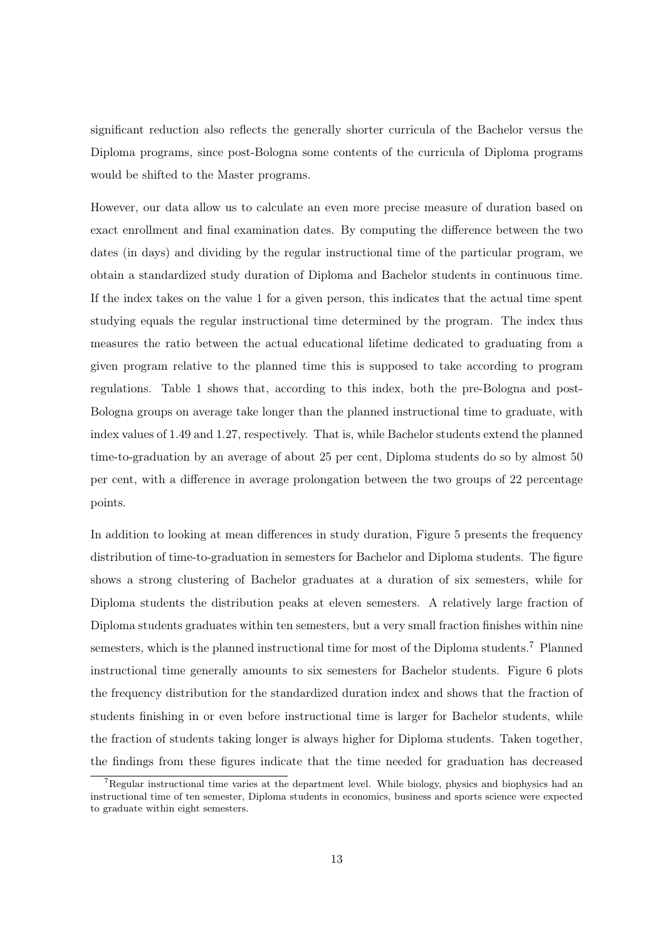significant reduction also reflects the generally shorter curricula of the Bachelor versus the Diploma programs, since post-Bologna some contents of the curricula of Diploma programs would be shifted to the Master programs.

However, our data allow us to calculate an even more precise measure of duration based on exact enrollment and final examination dates. By computing the difference between the two dates (in days) and dividing by the regular instructional time of the particular program, we obtain a standardized study duration of Diploma and Bachelor students in continuous time. If the index takes on the value 1 for a given person, this indicates that the actual time spent studying equals the regular instructional time determined by the program. The index thus measures the ratio between the actual educational lifetime dedicated to graduating from a given program relative to the planned time this is supposed to take according to program regulations. Table [1](#page-11-0) shows that, according to this index, both the pre-Bologna and post-Bologna groups on average take longer than the planned instructional time to graduate, with index values of 1.49 and 1.27, respectively. That is, while Bachelor students extend the planned time-to-graduation by an average of about 25 per cent, Diploma students do so by almost 50 per cent, with a difference in average prolongation between the two groups of 22 percentage points.

In addition to looking at mean differences in study duration, Figure [5](#page-14-0) presents the frequency distribution of time-to-graduation in semesters for Bachelor and Diploma students. The figure shows a strong clustering of Bachelor graduates at a duration of six semesters, while for Diploma students the distribution peaks at eleven semesters. A relatively large fraction of Diploma students graduates within ten semesters, but a very small fraction finishes within nine semesters, which is the planned instructional time for most of the Diploma students.<sup>[7](#page-12-0)</sup> Planned instructional time generally amounts to six semesters for Bachelor students. Figure [6](#page-14-0) plots the frequency distribution for the standardized duration index and shows that the fraction of students finishing in or even before instructional time is larger for Bachelor students, while the fraction of students taking longer is always higher for Diploma students. Taken together, the findings from these figures indicate that the time needed for graduation has decreased

<span id="page-12-0"></span><sup>&</sup>lt;sup>7</sup>Regular instructional time varies at the department level. While biology, physics and biophysics had an instructional time of ten semester, Diploma students in economics, business and sports science were expected to graduate within eight semesters.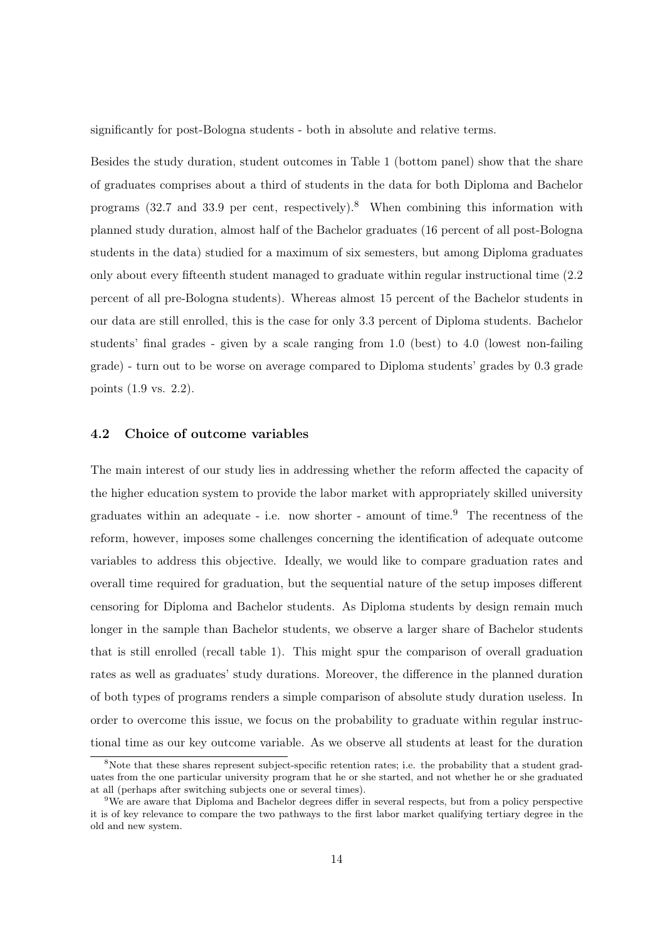significantly for post-Bologna students - both in absolute and relative terms.

Besides the study duration, student outcomes in Table [1](#page-11-0) (bottom panel) show that the share of graduates comprises about a third of students in the data for both Diploma and Bachelor programs  $(32.7 \text{ and } 33.9 \text{ per cent, respectively})$ .<sup>[8](#page-13-0)</sup> When combining this information with planned study duration, almost half of the Bachelor graduates (16 percent of all post-Bologna students in the data) studied for a maximum of six semesters, but among Diploma graduates only about every fifteenth student managed to graduate within regular instructional time (2.2 percent of all pre-Bologna students). Whereas almost 15 percent of the Bachelor students in our data are still enrolled, this is the case for only 3.3 percent of Diploma students. Bachelor students' final grades - given by a scale ranging from 1.0 (best) to 4.0 (lowest non-failing grade) - turn out to be worse on average compared to Diploma students' grades by 0.3 grade points (1.9 vs. 2.2).

#### 4.2 Choice of outcome variables

The main interest of our study lies in addressing whether the reform affected the capacity of the higher education system to provide the labor market with appropriately skilled university graduates within an adequate - i.e. now shorter - amount of time.<sup>[9](#page-13-1)</sup> The recentness of the reform, however, imposes some challenges concerning the identification of adequate outcome variables to address this objective. Ideally, we would like to compare graduation rates and overall time required for graduation, but the sequential nature of the setup imposes different censoring for Diploma and Bachelor students. As Diploma students by design remain much longer in the sample than Bachelor students, we observe a larger share of Bachelor students that is still enrolled (recall table 1). This might spur the comparison of overall graduation rates as well as graduates' study durations. Moreover, the difference in the planned duration of both types of programs renders a simple comparison of absolute study duration useless. In order to overcome this issue, we focus on the probability to graduate within regular instructional time as our key outcome variable. As we observe all students at least for the duration

<span id="page-13-0"></span><sup>&</sup>lt;sup>8</sup>Note that these shares represent subject-specific retention rates; i.e. the probability that a student graduates from the one particular university program that he or she started, and not whether he or she graduated at all (perhaps after switching subjects one or several times).

<span id="page-13-1"></span><sup>9</sup>We are aware that Diploma and Bachelor degrees differ in several respects, but from a policy perspective it is of key relevance to compare the two pathways to the first labor market qualifying tertiary degree in the old and new system.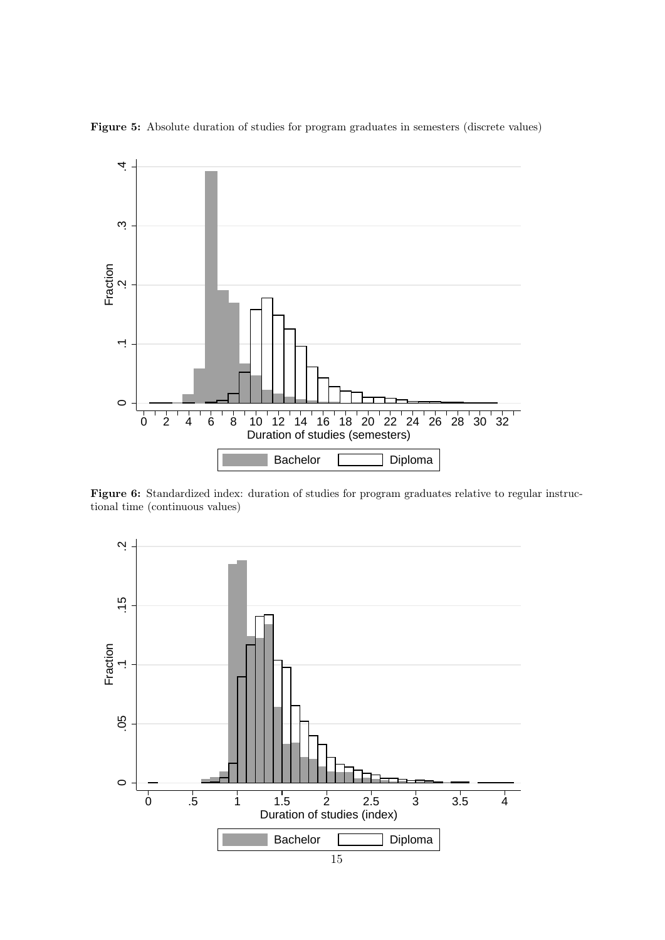

<span id="page-14-0"></span>Figure 5: Absolute duration of studies for program graduates in semesters (discrete values)

Figure 6: Standardized index: duration of studies for program graduates relative to regular instructional time (continuous values)

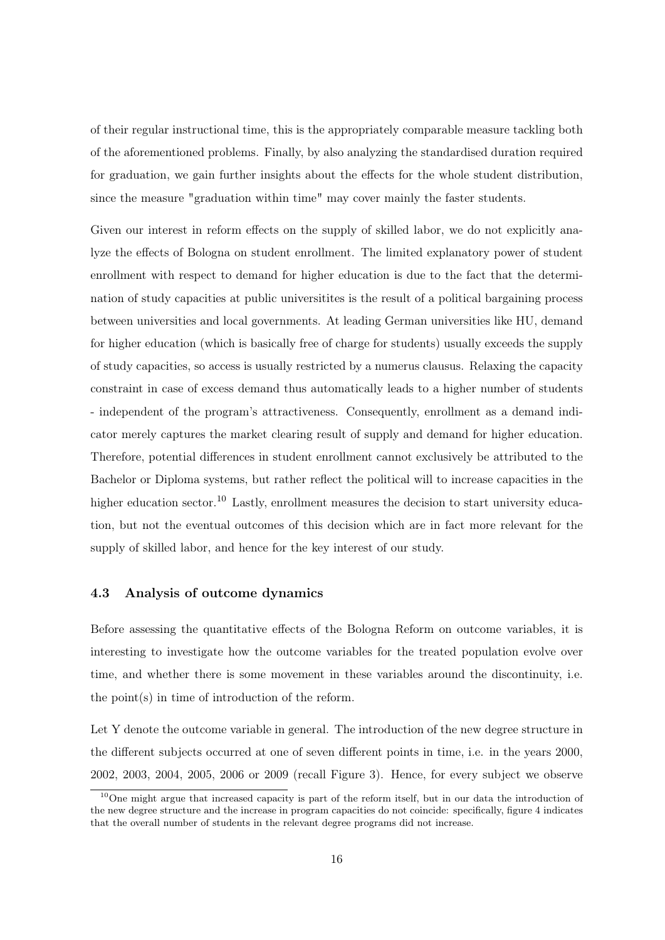of their regular instructional time, this is the appropriately comparable measure tackling both of the aforementioned problems. Finally, by also analyzing the standardised duration required for graduation, we gain further insights about the effects for the whole student distribution, since the measure "graduation within time" may cover mainly the faster students.

Given our interest in reform effects on the supply of skilled labor, we do not explicitly analyze the effects of Bologna on student enrollment. The limited explanatory power of student enrollment with respect to demand for higher education is due to the fact that the determination of study capacities at public universitites is the result of a political bargaining process between universities and local governments. At leading German universities like HU, demand for higher education (which is basically free of charge for students) usually exceeds the supply of study capacities, so access is usually restricted by a numerus clausus. Relaxing the capacity constraint in case of excess demand thus automatically leads to a higher number of students - independent of the program's attractiveness. Consequently, enrollment as a demand indicator merely captures the market clearing result of supply and demand for higher education. Therefore, potential differences in student enrollment cannot exclusively be attributed to the Bachelor or Diploma systems, but rather reflect the political will to increase capacities in the higher education sector.<sup>[10](#page-15-0)</sup> Lastly, enrollment measures the decision to start university education, but not the eventual outcomes of this decision which are in fact more relevant for the supply of skilled labor, and hence for the key interest of our study.

#### 4.3 Analysis of outcome dynamics

Before assessing the quantitative effects of the Bologna Reform on outcome variables, it is interesting to investigate how the outcome variables for the treated population evolve over time, and whether there is some movement in these variables around the discontinuity, i.e. the point(s) in time of introduction of the reform.

Let Y denote the outcome variable in general. The introduction of the new degree structure in the different subjects occurred at one of seven different points in time, i.e. in the years 2000, 2002, 2003, 2004, 2005, 2006 or 2009 (recall Figure [3\)](#page-9-0). Hence, for every subject we observe

<span id="page-15-0"></span><sup>10</sup>One might argue that increased capacity is part of the reform itself, but in our data the introduction of the new degree structure and the increase in program capacities do not coincide: specifically, figure [4](#page-10-0) indicates that the overall number of students in the relevant degree programs did not increase.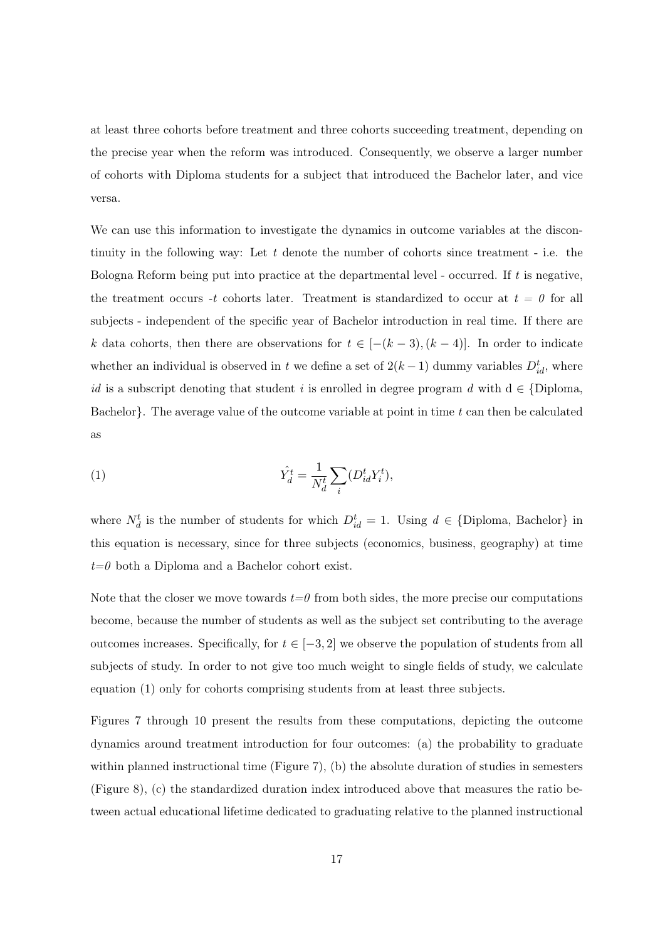at least three cohorts before treatment and three cohorts succeeding treatment, depending on the precise year when the reform was introduced. Consequently, we observe a larger number of cohorts with Diploma students for a subject that introduced the Bachelor later, and vice versa.

We can use this information to investigate the dynamics in outcome variables at the discontinuity in the following way: Let  $t$  denote the number of cohorts since treatment - i.e. the Bologna Reform being put into practice at the departmental level - occurred. If  $t$  is negative, the treatment occurs -t cohorts later. Treatment is standardized to occur at  $t = 0$  for all subjects - independent of the specific year of Bachelor introduction in real time. If there are k data cohorts, then there are observations for  $t \in [-(k-3), (k-4)]$ . In order to indicate whether an individual is observed in t we define a set of  $2(k-1)$  dummy variables  $D_{id}^t$ , where id is a subscript denoting that student i is enrolled in degree program d with  $d \in \{Diploma, \}$ Bachelor}. The average value of the outcome variable at point in time  $t$  can then be calculated as

(1) 
$$
\hat{Y}_d^t = \frac{1}{N_d^t} \sum_i (D_{id}^t Y_i^t),
$$

where  $N_d^t$  is the number of students for which  $D_{id}^t = 1$ . Using  $d \in \{Diploma, Bachelor\}$  in this equation is necessary, since for three subjects (economics, business, geography) at time  $t=0$  both a Diploma and a Bachelor cohort exist.

Note that the closer we move towards  $t=0$  from both sides, the more precise our computations become, because the number of students as well as the subject set contributing to the average outcomes increases. Specifically, for  $t \in [-3, 2]$  we observe the population of students from all subjects of study. In order to not give too much weight to single fields of study, we calculate equation (1) only for cohorts comprising students from at least three subjects.

Figures [7](#page-18-0) through [10](#page-19-0) present the results from these computations, depicting the outcome dynamics around treatment introduction for four outcomes: (a) the probability to graduate within planned instructional time (Figure [7\)](#page-18-0), (b) the absolute duration of studies in semesters (Figure [8\)](#page-18-1), (c) the standardized duration index introduced above that measures the ratio between actual educational lifetime dedicated to graduating relative to the planned instructional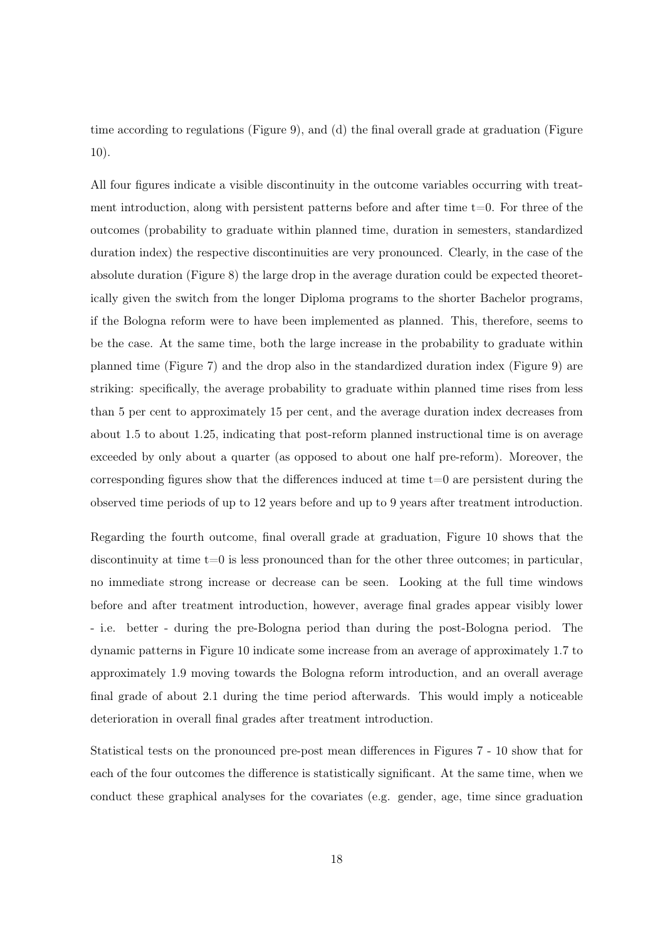time according to regulations (Figure [9\)](#page-19-1), and (d) the final overall grade at graduation (Figure [10\)](#page-19-0).

All four figures indicate a visible discontinuity in the outcome variables occurring with treatment introduction, along with persistent patterns before and after time  $t=0$ . For three of the outcomes (probability to graduate within planned time, duration in semesters, standardized duration index) the respective discontinuities are very pronounced. Clearly, in the case of the absolute duration (Figure [8\)](#page-18-1) the large drop in the average duration could be expected theoretically given the switch from the longer Diploma programs to the shorter Bachelor programs, if the Bologna reform were to have been implemented as planned. This, therefore, seems to be the case. At the same time, both the large increase in the probability to graduate within planned time (Figure [7\)](#page-18-0) and the drop also in the standardized duration index (Figure [9\)](#page-19-1) are striking: specifically, the average probability to graduate within planned time rises from less than 5 per cent to approximately 15 per cent, and the average duration index decreases from about 1.5 to about 1.25, indicating that post-reform planned instructional time is on average exceeded by only about a quarter (as opposed to about one half pre-reform). Moreover, the corresponding figures show that the differences induced at time  $t=0$  are persistent during the observed time periods of up to 12 years before and up to 9 years after treatment introduction.

Regarding the fourth outcome, final overall grade at graduation, Figure [10](#page-19-0) shows that the discontinuity at time  $t=0$  is less pronounced than for the other three outcomes; in particular, no immediate strong increase or decrease can be seen. Looking at the full time windows before and after treatment introduction, however, average final grades appear visibly lower - i.e. better - during the pre-Bologna period than during the post-Bologna period. The dynamic patterns in Figure [10](#page-19-0) indicate some increase from an average of approximately 1.7 to approximately 1.9 moving towards the Bologna reform introduction, and an overall average final grade of about 2.1 during the time period afterwards. This would imply a noticeable deterioration in overall final grades after treatment introduction.

Statistical tests on the pronounced pre-post mean differences in Figures [7](#page-18-0) - [10](#page-19-0) show that for each of the four outcomes the difference is statistically significant. At the same time, when we conduct these graphical analyses for the covariates (e.g. gender, age, time since graduation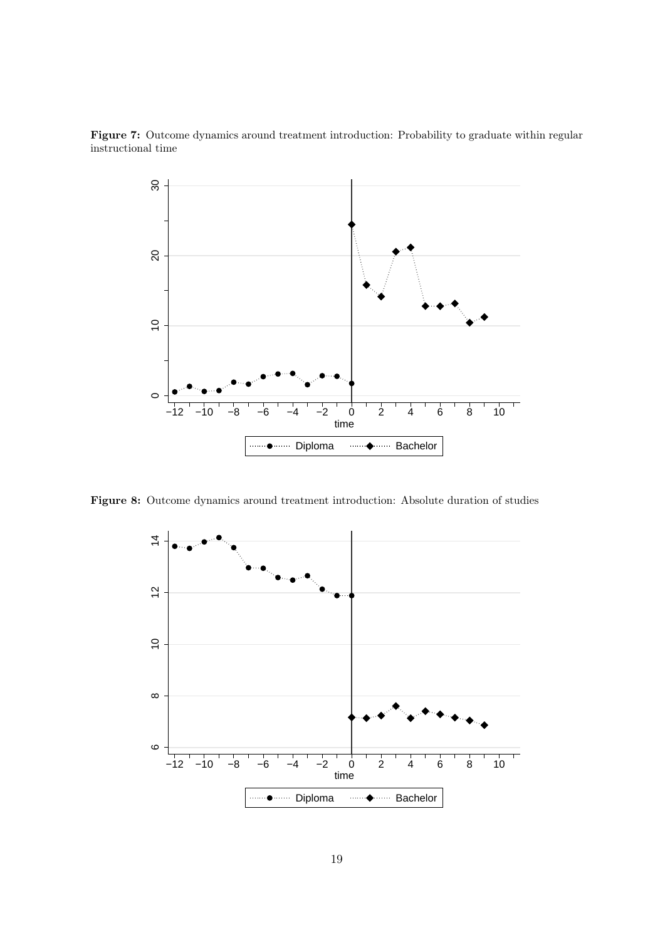

<span id="page-18-0"></span>Figure 7: Outcome dynamics around treatment introduction: Probability to graduate within regular instructional time

<span id="page-18-1"></span>Figure 8: Outcome dynamics around treatment introduction: Absolute duration of studies

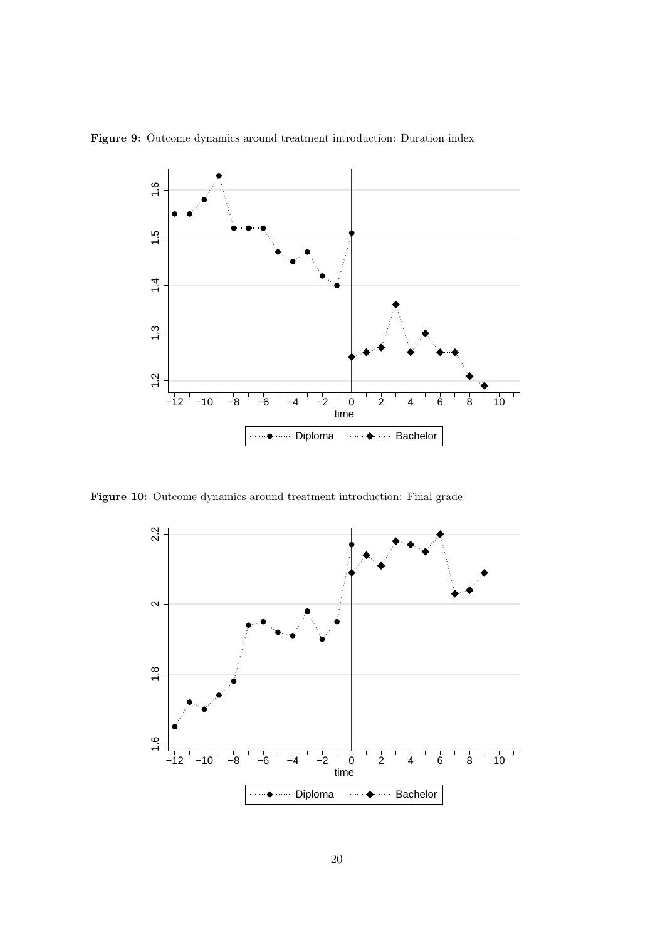

<span id="page-19-1"></span>Figure 9: Outcome dynamics around treatment introduction: Duration index

<span id="page-19-0"></span>Figure 10: Outcome dynamics around treatment introduction: Final grade

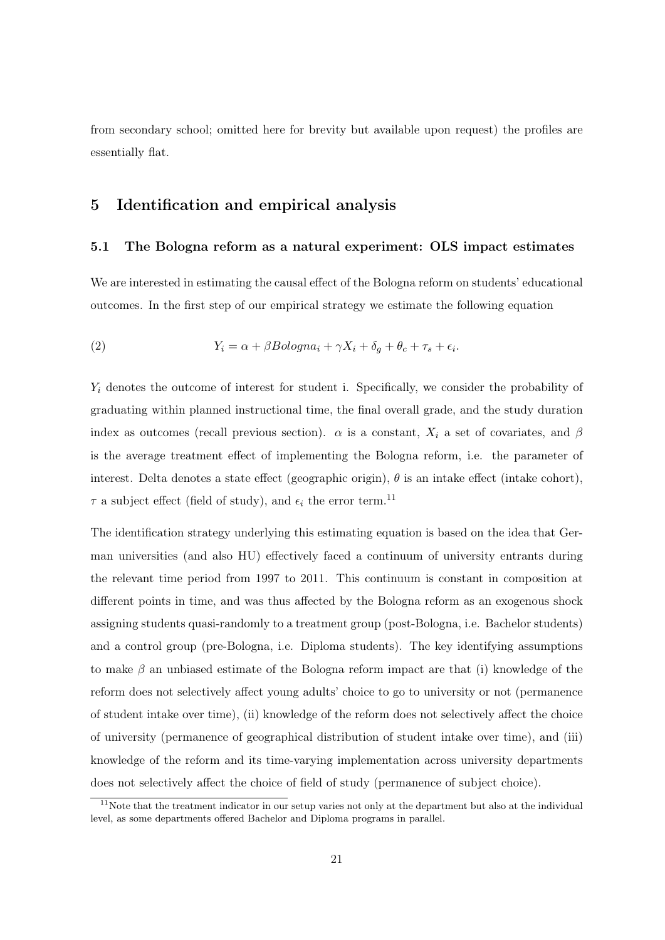from secondary school; omitted here for brevity but available upon request) the profiles are essentially flat.

### 5 Identification and empirical analysis

#### 5.1 The Bologna reform as a natural experiment: OLS impact estimates

We are interested in estimating the causal effect of the Bologna reform on students' educational outcomes. In the first step of our empirical strategy we estimate the following equation

(2) 
$$
Y_i = \alpha + \beta Bologna_i + \gamma X_i + \delta_g + \theta_c + \tau_s + \epsilon_i.
$$

 $Y_i$  denotes the outcome of interest for student i. Specifically, we consider the probability of graduating within planned instructional time, the final overall grade, and the study duration index as outcomes (recall previous section).  $\alpha$  is a constant,  $X_i$  a set of covariates, and  $\beta$ is the average treatment effect of implementing the Bologna reform, i.e. the parameter of interest. Delta denotes a state effect (geographic origin),  $\theta$  is an intake effect (intake cohort),  $\tau$  a subject effect (field of study), and  $\epsilon_i$  the error term.<sup>[11](#page-20-0)</sup>

The identification strategy underlying this estimating equation is based on the idea that German universities (and also HU) effectively faced a continuum of university entrants during the relevant time period from 1997 to 2011. This continuum is constant in composition at different points in time, and was thus affected by the Bologna reform as an exogenous shock assigning students quasi-randomly to a treatment group (post-Bologna, i.e. Bachelor students) and a control group (pre-Bologna, i.e. Diploma students). The key identifying assumptions to make  $\beta$  an unbiased estimate of the Bologna reform impact are that (i) knowledge of the reform does not selectively affect young adults' choice to go to university or not (permanence of student intake over time), (ii) knowledge of the reform does not selectively affect the choice of university (permanence of geographical distribution of student intake over time), and (iii) knowledge of the reform and its time-varying implementation across university departments does not selectively affect the choice of field of study (permanence of subject choice).

<span id="page-20-0"></span><sup>&</sup>lt;sup>11</sup>Note that the treatment indicator in our setup varies not only at the department but also at the individual level, as some departments offered Bachelor and Diploma programs in parallel.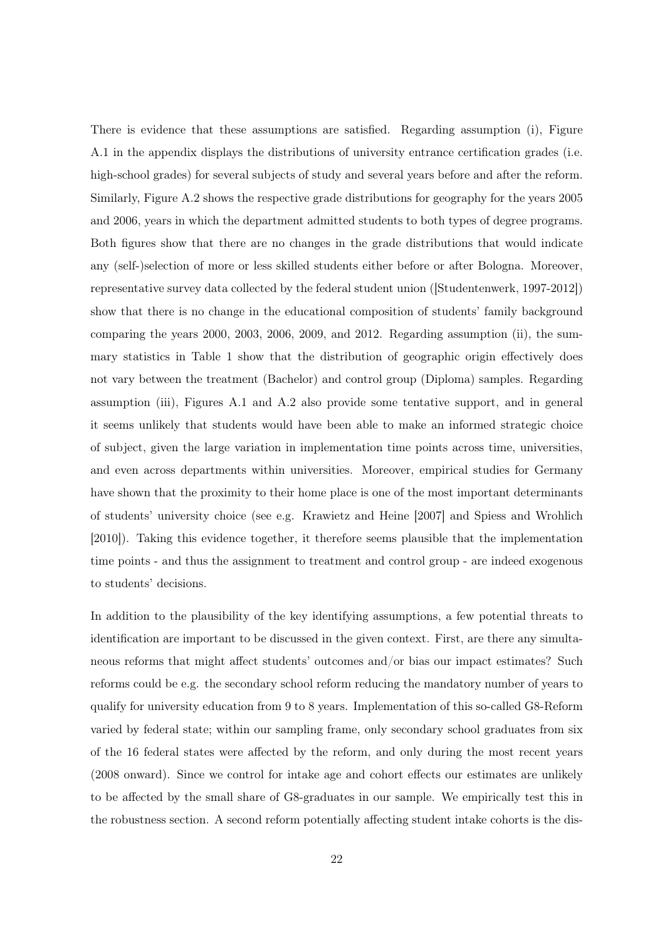There is evidence that these assumptions are satisfied. Regarding assumption (i), Figure [A.1](#page-40-0) in the appendix displays the distributions of university entrance certification grades (i.e. high-school grades) for several subjects of study and several years before and after the reform. Similarly, Figure [A.2](#page-41-0) shows the respective grade distributions for geography for the years 2005 and 2006, years in which the department admitted students to both types of degree programs. Both figures show that there are no changes in the grade distributions that would indicate any (self-)selection of more or less skilled students either before or after Bologna. Moreover, representative survey data collected by the federal student union ([Studentenwerk, [1997-2012\]](#page-39-7)) show that there is no change in the educational composition of students' family background comparing the years 2000, 2003, 2006, 2009, and 2012. Regarding assumption (ii), the summary statistics in Table [1](#page-11-0) show that the distribution of geographic origin effectively does not vary between the treatment (Bachelor) and control group (Diploma) samples. Regarding assumption (iii), Figures [A.1](#page-40-0) and [A.2](#page-41-0) also provide some tentative support, and in general it seems unlikely that students would have been able to make an informed strategic choice of subject, given the large variation in implementation time points across time, universities, and even across departments within universities. Moreover, empirical studies for Germany have shown that the proximity to their home place is one of the most important determinants of students' university choice (see e.g. Krawietz and Heine [\[2007\]](#page-39-8) and Spiess and Wrohlich [\[2010\]](#page-39-9)). Taking this evidence together, it therefore seems plausible that the implementation time points - and thus the assignment to treatment and control group - are indeed exogenous to students' decisions.

In addition to the plausibility of the key identifying assumptions, a few potential threats to identification are important to be discussed in the given context. First, are there any simultaneous reforms that might affect students' outcomes and/or bias our impact estimates? Such reforms could be e.g. the secondary school reform reducing the mandatory number of years to qualify for university education from 9 to 8 years. Implementation of this so-called G8-Reform varied by federal state; within our sampling frame, only secondary school graduates from six of the 16 federal states were affected by the reform, and only during the most recent years (2008 onward). Since we control for intake age and cohort effects our estimates are unlikely to be affected by the small share of G8-graduates in our sample. We empirically test this in the robustness section. A second reform potentially affecting student intake cohorts is the dis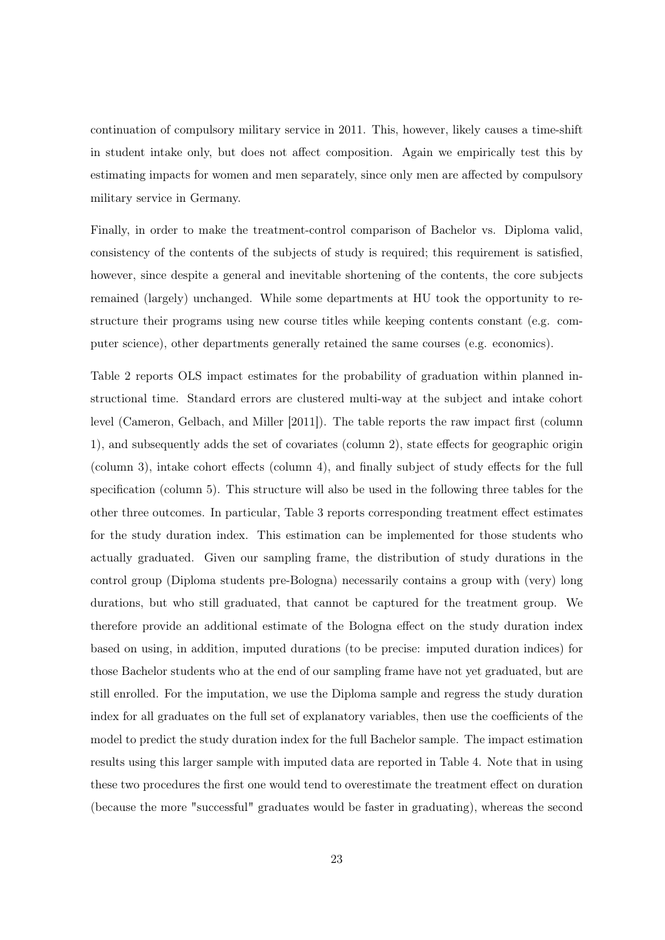continuation of compulsory military service in 2011. This, however, likely causes a time-shift in student intake only, but does not affect composition. Again we empirically test this by estimating impacts for women and men separately, since only men are affected by compulsory military service in Germany.

Finally, in order to make the treatment-control comparison of Bachelor vs. Diploma valid, consistency of the contents of the subjects of study is required; this requirement is satisfied, however, since despite a general and inevitable shortening of the contents, the core subjects remained (largely) unchanged. While some departments at HU took the opportunity to restructure their programs using new course titles while keeping contents constant (e.g. computer science), other departments generally retained the same courses (e.g. economics).

Table [2](#page-23-0) reports OLS impact estimates for the probability of graduation within planned instructional time. Standard errors are clustered multi-way at the subject and intake cohort level (Cameron, Gelbach, and Miller [\[2011\]](#page-38-15)). The table reports the raw impact first (column 1), and subsequently adds the set of covariates (column 2), state effects for geographic origin (column 3), intake cohort effects (column 4), and finally subject of study effects for the full specification (column 5). This structure will also be used in the following three tables for the other three outcomes. In particular, Table [3](#page-24-0) reports corresponding treatment effect estimates for the study duration index. This estimation can be implemented for those students who actually graduated. Given our sampling frame, the distribution of study durations in the control group (Diploma students pre-Bologna) necessarily contains a group with (very) long durations, but who still graduated, that cannot be captured for the treatment group. We therefore provide an additional estimate of the Bologna effect on the study duration index based on using, in addition, imputed durations (to be precise: imputed duration indices) for those Bachelor students who at the end of our sampling frame have not yet graduated, but are still enrolled. For the imputation, we use the Diploma sample and regress the study duration index for all graduates on the full set of explanatory variables, then use the coefficients of the model to predict the study duration index for the full Bachelor sample. The impact estimation results using this larger sample with imputed data are reported in Table [4.](#page-25-0) Note that in using these two procedures the first one would tend to overestimate the treatment effect on duration (because the more "successful" graduates would be faster in graduating), whereas the second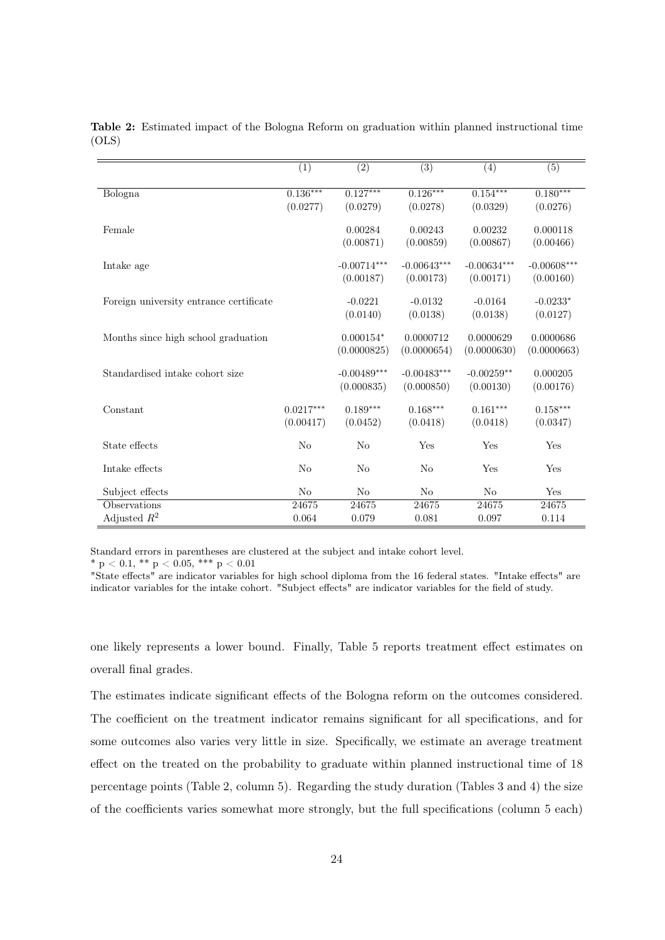|                                         | (1)         | (2)            | $\overline{(3)}$ | (4)            | $\overline{(5)}$ |
|-----------------------------------------|-------------|----------------|------------------|----------------|------------------|
| Bologna                                 | $0.136***$  | $0.127***$     | $0.126***$       | $0.154***$     | $0.180***$       |
|                                         | (0.0277)    | (0.0279)       | (0.0278)         | (0.0329)       | (0.0276)         |
| Female                                  |             | 0.00284        | 0.00243          | 0.00232        | 0.000118         |
|                                         |             | (0.00871)      | (0.00859)        | (0.00867)      | (0.00466)        |
| Intake age                              |             | $-0.00714***$  | $-0.00643***$    | $-0.00634***$  | $-0.00608***$    |
|                                         |             | (0.00187)      | (0.00173)        | (0.00171)      | (0.00160)        |
| Foreign university entrance certificate |             | $-0.0221$      | $-0.0132$        | $-0.0164$      | $-0.0233*$       |
|                                         |             | (0.0140)       | (0.0138)         | (0.0138)       | (0.0127)         |
| Months since high school graduation     |             | $0.000154*$    | 0.0000712        | 0.0000629      | 0.0000686        |
|                                         |             | (0.0000825)    | (0.0000654)      | (0.0000630)    | (0.0000663)      |
| Standardised intake cohort size         |             | $-0.00489***$  | $-0.00483***$    | $-0.00259**$   | 0.000205         |
|                                         |             | (0.000835)     | (0.000850)       | (0.00130)      | (0.00176)        |
| Constant                                | $0.0217***$ | $0.189***$     | $0.168***$       | $0.161***$     | $0.158***$       |
|                                         | (0.00417)   | (0.0452)       | (0.0418)         | (0.0418)       | (0.0347)         |
| State effects                           | No          | N <sub>0</sub> | Yes              | Yes            | Yes              |
| Intake effects                          | No          | No             | No               | Yes            | Yes              |
| Subject effects                         | No          | No             | N <sub>o</sub>   | N <sub>o</sub> | Yes              |
| Observations                            | 24675       | 24675          | 24675            | 24675          | 24675            |
| Adjusted $R^2$                          | 0.064       | 0.079          | 0.081            | 0.097          | 0.114            |

<span id="page-23-0"></span>Table 2: Estimated impact of the Bologna Reform on graduation within planned instructional time (OLS)

Standard errors in parentheses are clustered at the subject and intake cohort level.

\* p < 0.1, \*\* p < 0.05, \*\*\* p < 0.01

"State effects" are indicator variables for high school diploma from the 16 federal states. "Intake effects" are indicator variables for the intake cohort. "Subject effects" are indicator variables for the field of study.

one likely represents a lower bound. Finally, Table [5](#page-26-0) reports treatment effect estimates on overall final grades.

The estimates indicate significant effects of the Bologna reform on the outcomes considered. The coefficient on the treatment indicator remains significant for all specifications, and for some outcomes also varies very little in size. Specifically, we estimate an average treatment effect on the treated on the probability to graduate within planned instructional time of 18 percentage points (Table [2,](#page-23-0) column 5). Regarding the study duration (Tables [3](#page-24-0) and [4\)](#page-25-0) the size of the coefficients varies somewhat more strongly, but the full specifications (column 5 each)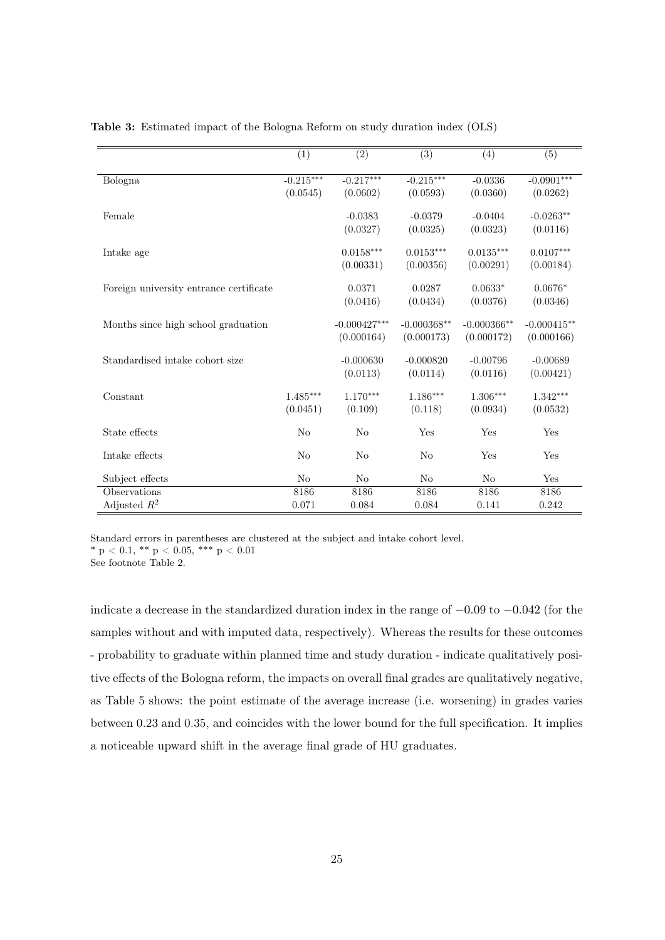|                                         | (1)            | $\overline{(2)}$      | $\overline{(3)}$      | (4)                   | (5)                     |
|-----------------------------------------|----------------|-----------------------|-----------------------|-----------------------|-------------------------|
| Bologna                                 | $-0.215***$    | $-0.217***$           | $-0.215***$           | $-0.0336$             | $-0.0901***$            |
|                                         | (0.0545)       | (0.0602)              | (0.0593)              | (0.0360)              | (0.0262)                |
| Female                                  |                | $-0.0383$<br>(0.0327) | $-0.0379$<br>(0.0325) | $-0.0404$<br>(0.0323) | $-0.0263**$<br>(0.0116) |
| Intake age                              |                | $0.0158***$           | $0.0153***$           | $0.0135***$           | $0.0107***$             |
|                                         |                | (0.00331)             | (0.00356)             | (0.00291)             | (0.00184)               |
| Foreign university entrance certificate |                | 0.0371                | 0.0287                | $0.0633*$             | $0.0676*$               |
|                                         |                | (0.0416)              | (0.0434)              | (0.0376)              | (0.0346)                |
| Months since high school graduation     |                | $-0.000427***$        | $-0.000368**$         | $-0.000366**$         | $-0.000415**$           |
|                                         |                | (0.000164)            | (0.000173)            | (0.000172)            | (0.000166)              |
| Standardised intake cohort size         |                | $-0.000630$           | $-0.000820$           | $-0.00796$            | $-0.00689$              |
|                                         |                | (0.0113)              | (0.0114)              | (0.0116)              | (0.00421)               |
| Constant                                | $1.485***$     | $1.170***$            | $1.186***$            | $1.306***$            | $1.342***$              |
|                                         | (0.0451)       | (0.109)               | (0.118)               | (0.0934)              | (0.0532)                |
| State effects                           | N <sub>o</sub> | No                    | Yes                   | Yes                   | Yes                     |
| Intake effects                          | No             | No                    | No                    | Yes                   | Yes                     |
| Subject effects                         | No             | No                    | N <sub>o</sub>        | No                    | Yes                     |
| Observations                            | 8186           | 8186                  | 8186                  | 8186                  | 8186                    |
| Adjusted $R^2$                          | 0.071          | 0.084                 | 0.084                 | 0.141                 | 0.242                   |

<span id="page-24-0"></span>Table 3: Estimated impact of the Bologna Reform on study duration index (OLS)

Standard errors in parentheses are clustered at the subject and intake cohort level. \* p < 0.1, \*\* p < 0.05, \*\*\* p < 0.01

See footnote Table [2.](#page-23-0)

indicate a decrease in the standardized duration index in the range of −0.09 to −0.042 (for the samples without and with imputed data, respectively). Whereas the results for these outcomes - probability to graduate within planned time and study duration - indicate qualitatively positive effects of the Bologna reform, the impacts on overall final grades are qualitatively negative, as Table [5](#page-26-0) shows: the point estimate of the average increase (i.e. worsening) in grades varies between 0.23 and 0.35, and coincides with the lower bound for the full specification. It implies a noticeable upward shift in the average final grade of HU graduates.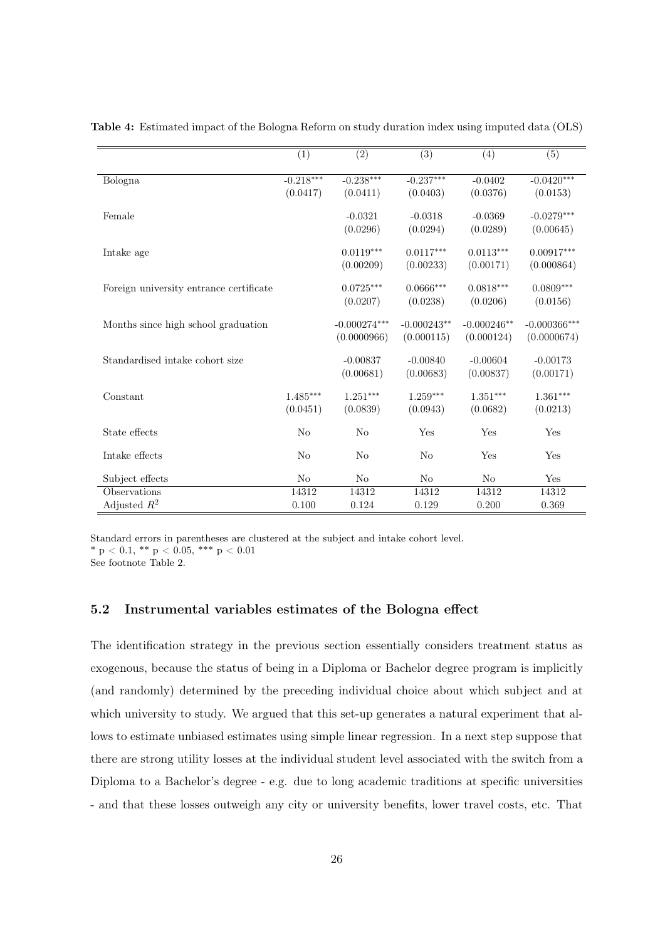|                                         | $\overline{(1)}$ | $\overline{(2)}$ | $\overline{(3)}$ | $\overline{(4)}$ | $\overline{(5)}$ |
|-----------------------------------------|------------------|------------------|------------------|------------------|------------------|
| Bologna                                 | $-0.218***$      | $-0.238***$      | $-0.237***$      | $-0.0402$        | $-0.0420***$     |
|                                         | (0.0417)         | (0.0411)         | (0.0403)         | (0.0376)         | (0.0153)         |
| Female                                  |                  | $-0.0321$        | $-0.0318$        | $-0.0369$        | $-0.0279***$     |
|                                         |                  | (0.0296)         | (0.0294)         | (0.0289)         | (0.00645)        |
| Intake age                              |                  | $0.0119***$      | $0.0117***$      | $0.0113***$      | $0.00917***$     |
|                                         |                  | (0.00209)        | (0.00233)        | (0.00171)        | (0.000864)       |
| Foreign university entrance certificate |                  | $0.0725***$      | $0.0666***$      | $0.0818***$      | $0.0809***$      |
|                                         |                  | (0.0207)         | (0.0238)         | (0.0206)         | (0.0156)         |
| Months since high school graduation     |                  | $-0.000274***$   | $-0.000243**$    | $-0.000246**$    | $-0.000366$ ***  |
|                                         |                  | (0.0000966)      | (0.000115)       | (0.000124)       | (0.0000674)      |
| Standardised intake cohort size         |                  | $-0.00837$       | $-0.00840$       | $-0.00604$       | $-0.00173$       |
|                                         |                  | (0.00681)        | (0.00683)        | (0.00837)        | (0.00171)        |
| Constant                                | $1.485***$       | $1.251***$       | $1.259***$       | $1.351***$       | $1.361***$       |
|                                         | (0.0451)         | (0.0839)         | (0.0943)         | (0.0682)         | (0.0213)         |
|                                         |                  |                  |                  |                  |                  |
| State effects                           | No               | No               | Yes              | Yes              | Yes              |
| Intake effects                          | No               | No               | No               | Yes              | Yes              |
| Subject effects                         | N <sub>o</sub>   | No               | No               | N <sub>o</sub>   | Yes              |
| Observations                            | 14312            | 14312            | 14312            | 14312            | 14312            |
| Adjusted $R^2$                          | 0.100            | 0.124            | 0.129            | 0.200            | 0.369            |

<span id="page-25-0"></span>Table 4: Estimated impact of the Bologna Reform on study duration index using imputed data (OLS)

Standard errors in parentheses are clustered at the subject and intake cohort level. \* p < 0.1, \*\* p < 0.05, \*\*\* p < 0.01

See footnote Table [2.](#page-23-0)

#### 5.2 Instrumental variables estimates of the Bologna effect

The identification strategy in the previous section essentially considers treatment status as exogenous, because the status of being in a Diploma or Bachelor degree program is implicitly (and randomly) determined by the preceding individual choice about which subject and at which university to study. We argued that this set-up generates a natural experiment that allows to estimate unbiased estimates using simple linear regression. In a next step suppose that there are strong utility losses at the individual student level associated with the switch from a Diploma to a Bachelor's degree - e.g. due to long academic traditions at specific universities - and that these losses outweigh any city or university benefits, lower travel costs, etc. That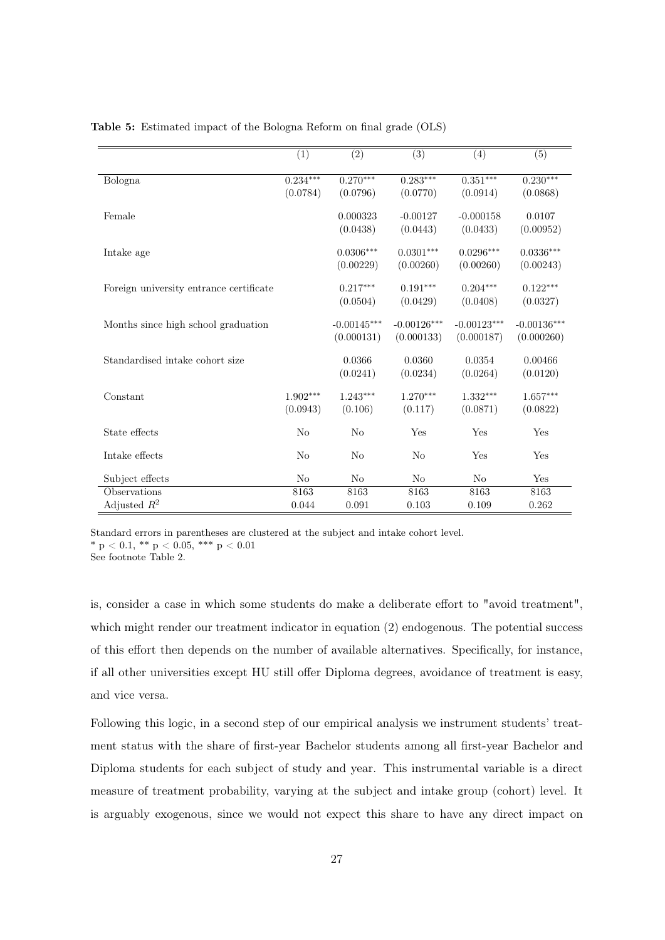|                                         | $\overline{(1)}$ | $\overline{(2)}$ | $\overline{(3)}$ | (4)           | $\overline{(5)}$ |
|-----------------------------------------|------------------|------------------|------------------|---------------|------------------|
| Bologna                                 | $0.234***$       | $0.270***$       | $0.283***$       | $0.351***$    | $0.230***$       |
|                                         | (0.0784)         | (0.0796)         | (0.0770)         | (0.0914)      | (0.0868)         |
|                                         |                  |                  |                  |               |                  |
| Female                                  |                  | 0.000323         | $-0.00127$       | $-0.000158$   | 0.0107           |
|                                         |                  | (0.0438)         | (0.0443)         | (0.0433)      | (0.00952)        |
| Intake age                              |                  | $0.0306***$      | $0.0301***$      | $0.0296***$   | $0.0336***$      |
|                                         |                  | (0.00229)        | (0.00260)        | (0.00260)     | (0.00243)        |
| Foreign university entrance certificate |                  | $0.217***$       | $0.191***$       | $0.204***$    | $0.122***$       |
|                                         |                  | (0.0504)         | (0.0429)         | (0.0408)      | (0.0327)         |
|                                         |                  |                  |                  |               |                  |
| Months since high school graduation     |                  | $-0.00145***$    | $-0.00126***$    | $-0.00123***$ | $-0.00136***$    |
|                                         |                  | (0.000131)       | (0.000133)       | (0.000187)    | (0.000260)       |
| Standardised intake cohort size         |                  | 0.0366           | 0.0360           | 0.0354        | 0.00466          |
|                                         |                  | (0.0241)         | (0.0234)         | (0.0264)      | (0.0120)         |
| Constant                                | $1.902***$       | $1.243***$       | $1.270***$       | $1.332***$    | $1.657***$       |
|                                         | (0.0943)         | (0.106)          | (0.117)          | (0.0871)      | (0.0822)         |
|                                         |                  |                  |                  |               |                  |
| State effects                           | No               | No               | Yes              | Yes           | Yes              |
|                                         |                  |                  |                  |               |                  |
| Intake effects                          | No               | No               | No               | Yes           | Yes              |
| Subject effects                         | No               | $\rm No$         | No               | No            | Yes              |
| Observations                            | 8163             | 8163             | 8163             | 8163          | 8163             |
| Adjusted $R^2$                          | 0.044            | 0.091            | 0.103            | 0.109         | 0.262            |

<span id="page-26-0"></span>Table 5: Estimated impact of the Bologna Reform on final grade (OLS)

Standard errors in parentheses are clustered at the subject and intake cohort level.

\* p  $< 0.1$ , \*\* p  $< 0.05$ , \*\*\* p  $< 0.01$ 

See footnote Table [2.](#page-23-0)

is, consider a case in which some students do make a deliberate effort to "avoid treatment", which might render our treatment indicator in equation  $(2)$  endogenous. The potential success of this effort then depends on the number of available alternatives. Specifically, for instance, if all other universities except HU still offer Diploma degrees, avoidance of treatment is easy, and vice versa.

Following this logic, in a second step of our empirical analysis we instrument students' treatment status with the share of first-year Bachelor students among all first-year Bachelor and Diploma students for each subject of study and year. This instrumental variable is a direct measure of treatment probability, varying at the subject and intake group (cohort) level. It is arguably exogenous, since we would not expect this share to have any direct impact on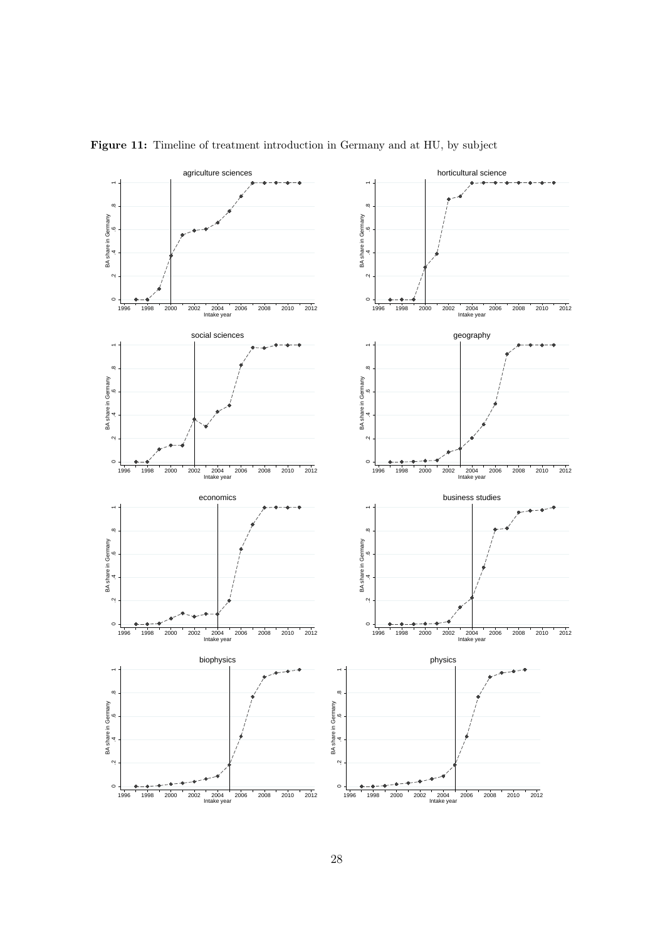

<span id="page-27-0"></span>Figure 11: Timeline of treatment introduction in Germany and at HU, by subject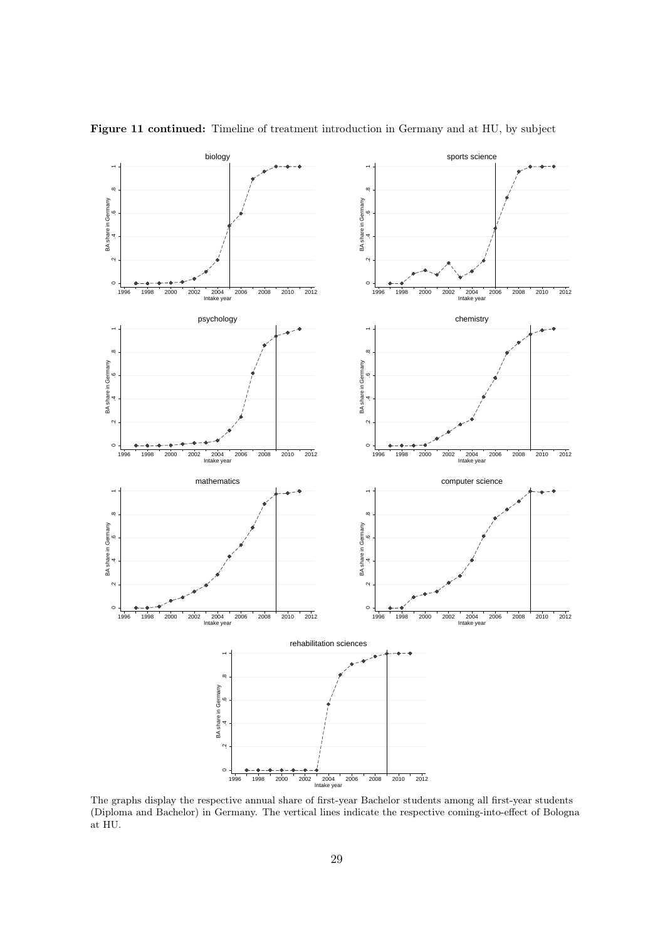

Figure 11 continued: Timeline of treatment introduction in Germany and at HU, by subject

The graphs display the respective annual share of first-year Bachelor students among all first-year students (Diploma and Bachelor) in Germany. The vertical lines indicate the respective coming-into-effect of Bologna at HU.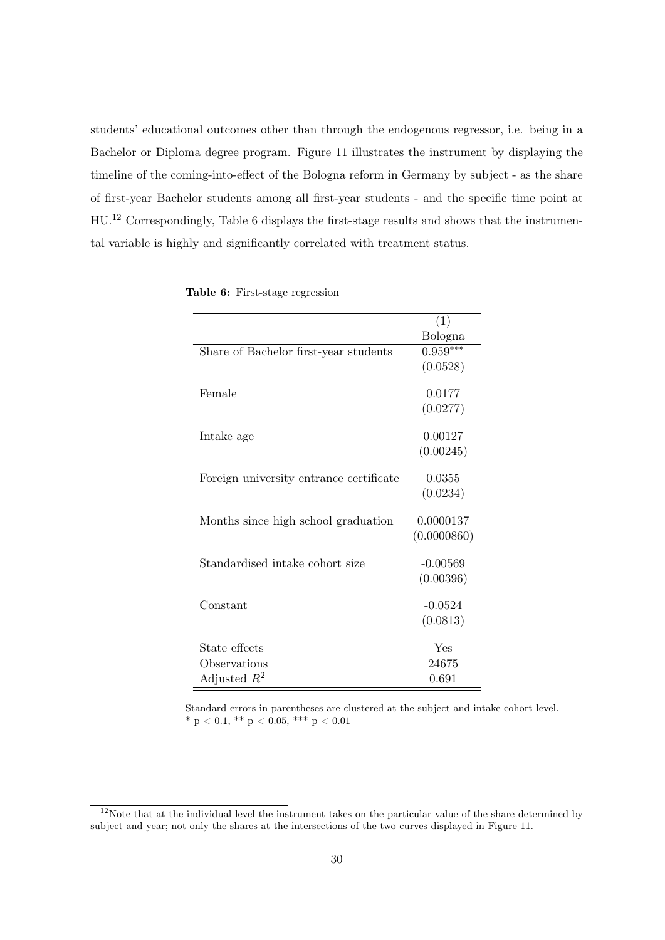students' educational outcomes other than through the endogenous regressor, i.e. being in a Bachelor or Diploma degree program. Figure [11](#page-27-0) illustrates the instrument by displaying the timeline of the coming-into-effect of the Bologna reform in Germany by subject - as the share of first-year Bachelor students among all first-year students - and the specific time point at HU.[12](#page-29-0) Correspondingly, Table [6](#page-29-1) displays the first-stage results and shows that the instrumental variable is highly and significantly correlated with treatment status.

|                                         | (1)         |
|-----------------------------------------|-------------|
|                                         | Bologna     |
| Share of Bachelor first-year students   | $0.959***$  |
|                                         | (0.0528)    |
|                                         |             |
| Female                                  | 0.0177      |
|                                         | (0.0277)    |
|                                         | 0.00127     |
| Intake age                              |             |
|                                         | (0.00245)   |
| Foreign university entrance certificate | 0.0355      |
|                                         | (0.0234)    |
| Months since high school graduation     | 0.0000137   |
|                                         |             |
|                                         | (0.0000860) |
| Standardised intake cohort size         | $-0.00569$  |
|                                         | (0.00396)   |
|                                         |             |
| Constant                                | $-0.0524$   |
|                                         | (0.0813)    |
|                                         |             |
| State effects                           | Yes         |
| Observations                            | 24675       |
| Adjusted $R^2$                          | 0.691       |

<span id="page-29-1"></span>Table 6: First-stage regression

Standard errors in parentheses are clustered at the subject and intake cohort level. \* p < 0.1, \*\* p < 0.05, \*\*\* p < 0.01

<span id="page-29-0"></span> $12$ Note that at the individual level the instrument takes on the particular value of the share determined by subject and year; not only the shares at the intersections of the two curves displayed in Figure [11.](#page-27-0)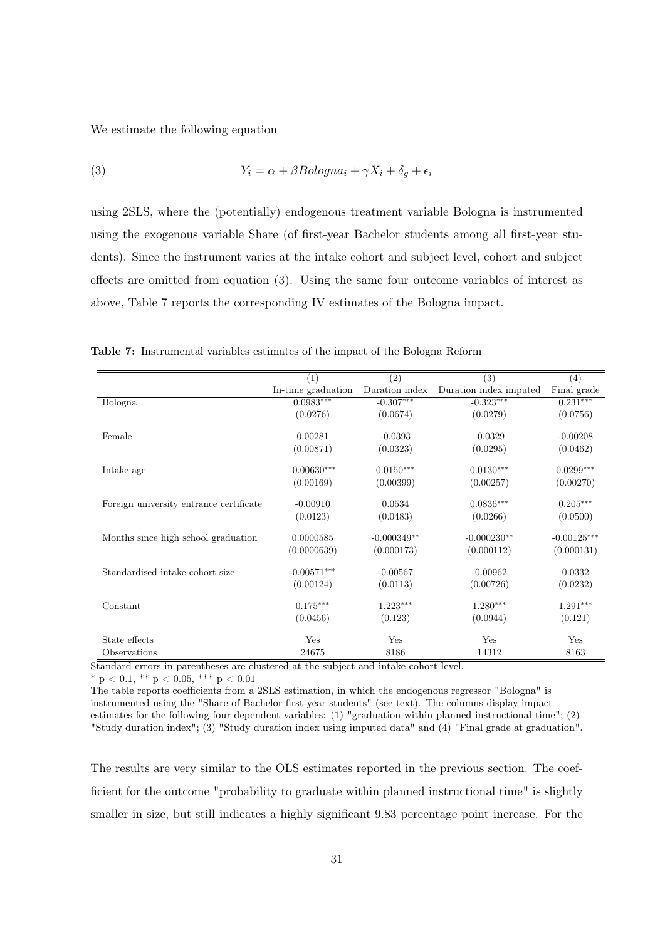We estimate the following equation

(3) 
$$
Y_i = \alpha + \beta Bologna_i + \gamma X_i + \delta_g + \epsilon_i
$$

using 2SLS, where the (potentially) endogenous treatment variable Bologna is instrumented using the exogenous variable Share (of first-year Bachelor students among all first-year students). Since the instrument varies at the intake cohort and subject level, cohort and subject effects are omitted from equation (3). Using the same four outcome variables of interest as above, Table [7](#page-30-0) reports the corresponding IV estimates of the Bologna impact.

|                                         | (1)                | (2)            | $\overline{(3)}$       | (4)           |
|-----------------------------------------|--------------------|----------------|------------------------|---------------|
|                                         | In-time graduation | Duration index | Duration index imputed | Final grade   |
| Bologna                                 | $0.0983***$        | $-0.307***$    | $-0.323***$            | $0.231***$    |
|                                         | (0.0276)           | (0.0674)       | (0.0279)               | (0.0756)      |
| Female                                  | 0.00281            | $-0.0393$      | $-0.0329$              | $-0.00208$    |
|                                         | (0.00871)          | (0.0323)       | (0.0295)               | (0.0462)      |
| Intake age                              | $-0.00630***$      | $0.0150***$    | $0.0130***$            | $0.0299***$   |
|                                         | (0.00169)          | (0.00399)      | (0.00257)              | (0.00270)     |
| Foreign university entrance certificate | $-0.00910$         | 0.0534         | $0.0836***$            | $0.205***$    |
|                                         | (0.0123)           | (0.0483)       | (0.0266)               | (0.0500)      |
| Months since high school graduation     | 0.0000585          | $-0.000349**$  | $-0.000230**$          | $-0.00125***$ |
|                                         | (0.0000639)        | (0.000173)     | (0.000112)             | (0.000131)    |
| Standardised intake cohort size         | $-0.00571***$      | $-0.00567$     | $-0.00962$             | 0.0332        |
|                                         | (0.00124)          | (0.0113)       | (0.00726)              | (0.0232)      |
| Constant                                | $0.175***$         | $1.223***$     | $1.280***$             | $1.291***$    |
|                                         | (0.0456)           | (0.123)        | (0.0944)               | (0.121)       |
| State effects                           | Yes                | Yes            | Yes                    | Yes           |
| Observations                            | 24675              | 8186           | 14312                  | 8163          |

<span id="page-30-0"></span>Table 7: Instrumental variables estimates of the impact of the Bologna Reform

Standard errors in parentheses are clustered at the subject and intake cohort level.

\* p < 0.1, \*\* p < 0.05, \*\*\* p < 0.01

The table reports coefficients from a 2SLS estimation, in which the endogenous regressor "Bologna" is instrumented using the "Share of Bachelor first-year students" (see text). The columns display impact estimates for the following four dependent variables: (1) "graduation within planned instructional time"; (2) "Study duration index"; (3) "Study duration index using imputed data" and (4) "Final grade at graduation".

The results are very similar to the OLS estimates reported in the previous section. The coefficient for the outcome "probability to graduate within planned instructional time" is slightly smaller in size, but still indicates a highly significant 9.83 percentage point increase. For the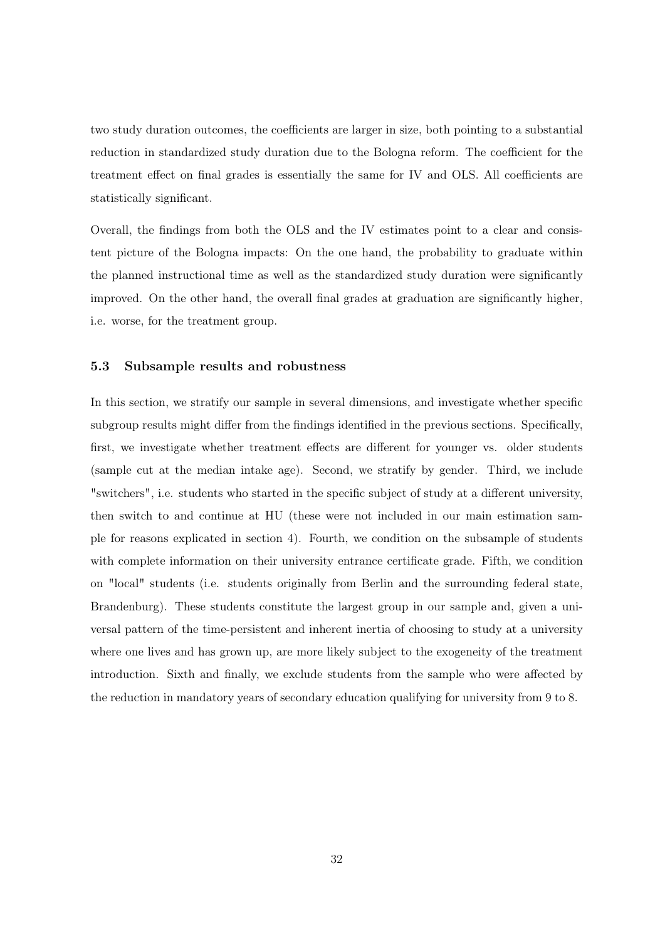two study duration outcomes, the coefficients are larger in size, both pointing to a substantial reduction in standardized study duration due to the Bologna reform. The coefficient for the treatment effect on final grades is essentially the same for IV and OLS. All coefficients are statistically significant.

Overall, the findings from both the OLS and the IV estimates point to a clear and consistent picture of the Bologna impacts: On the one hand, the probability to graduate within the planned instructional time as well as the standardized study duration were significantly improved. On the other hand, the overall final grades at graduation are significantly higher, i.e. worse, for the treatment group.

#### 5.3 Subsample results and robustness

In this section, we stratify our sample in several dimensions, and investigate whether specific subgroup results might differ from the findings identified in the previous sections. Specifically, first, we investigate whether treatment effects are different for younger vs. older students (sample cut at the median intake age). Second, we stratify by gender. Third, we include "switchers", i.e. students who started in the specific subject of study at a different university, then switch to and continue at HU (these were not included in our main estimation sample for reasons explicated in section 4). Fourth, we condition on the subsample of students with complete information on their university entrance certificate grade. Fifth, we condition on "local" students (i.e. students originally from Berlin and the surrounding federal state, Brandenburg). These students constitute the largest group in our sample and, given a universal pattern of the time-persistent and inherent inertia of choosing to study at a university where one lives and has grown up, are more likely subject to the exogeneity of the treatment introduction. Sixth and finally, we exclude students from the sample who were affected by the reduction in mandatory years of secondary education qualifying for university from 9 to 8.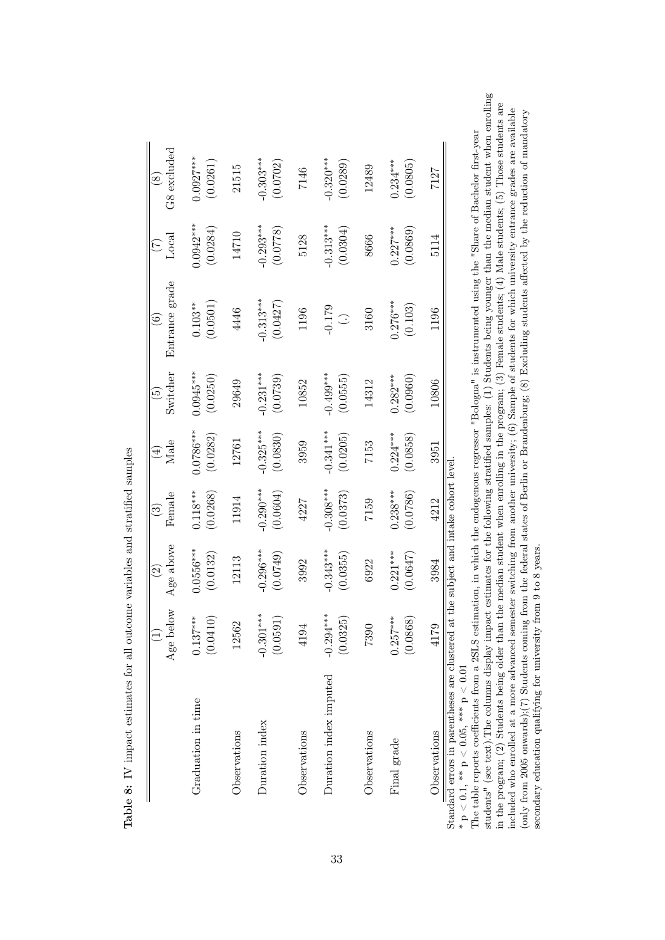|                        | $\overline{\text{cov}}$ | Age above          | Female                 | Male                | Switcher        | Entrance grade | $_{\rm Local}$ | $G8$ excluded |
|------------------------|-------------------------|--------------------|------------------------|---------------------|-----------------|----------------|----------------|---------------|
|                        | Age bel                 | $\widehat{\Omega}$ | $\widehat{\mathbb{C}}$ | $\widehat{\exists}$ | $\widetilde{5}$ | $\odot$        | E              | $\circledS$   |
| Graduation in time     | $0.137***$              | 1.0556***          | $0.118***$             | $0.0786***$         | $0.0945***$     | (0.0501)       | $0.0942***$    | $0.0927***$   |
|                        | (0.0410)                | (0.0132)           | (0.0268)               | (0.0282)            | (0.0250)        | $0.103**$      | (0.0284)       | (0.0261)      |
| Observations           | 12562                   | 12113              | 11914                  | 12761               | 29649           | 4446           | 14710          | 21515         |
| Duration index         | $-0.301***$             | $-0.296***$        | $-0.290***$            | $0.325***$          | $-0.231***$     | $-0.313***$    | $-0.293***$    | $-0.303***$   |
|                        | (0.0591)                | (6510.0)           | (0.0604)               | (0.0830)            | (0.0739)        | (0.0427)       | (8220.0)       | (0.0702)      |
| Observations           | 4194                    | 3992               | 4227                   | 3959                | 10852           | 1196           | 5128           | 7146          |
| Duration index imputed | $-0.294***$             | $-0.343***$        | $-0.308***$            | $0.341***$          | $-0.499***$     | $-0.179$       | $-0.313***$    | $-0.320***$   |
|                        | (0.0325)                | (0.0355)           | (0.0373)               | (0.0205)            | (0.0555)        | $\bigcirc$     | (0.0304)       | (0.0289)      |
| Observations           | 7390                    | 6922               | 7159                   | 7153                | 14312           | 3160           | 8666           | 12489         |
| Final grade            | $0.257***$              | $0.221***$         | $0.238***$             | $0.224***$          | $0.282***$      | $0.276***$     | $0.227***$     | $0.234***$    |
|                        | (0.0868)                | (0.0647)           | (0.0786)               | (0.0858)            | 0.0960)         | (0.103)        | (0.0869)       | (0.0805)      |
| Observations           | 4179                    | 3984               | 4212                   | 3951                | 10806           | 1196           | 5114           | 7127          |

Table 8: IV impact estimates for all outcome variables and stratified samples Table 8: IV impact estimates for all outcome variables and stratified samples

<span id="page-32-0"></span>students" (see text). The columns display impact estimates for the following stratified samples: (1) Students being younger than the median student when enrolling students" (see text).The columns display impact estimates for the following stratified samples: (1) Students being younger than the median student when enrolling in the program; (2) Students being older than the median student when enrolling in the program; (3) Female students; (4) Male students; (5) Those students are in the program; (2) Students being older than the median student when enrolling in the program; (3) Female students; (4) Male students; (5) Those students are included who enrolled at a more advanced semester switching from another university; (6) Sample of students for which university entrance grades are available (only from 2005 onwards); (7) Students coming from the federal included who enrolled at a more advanced semester switching from another university; (6) Sample of students for which university entrance grades are available (only from 2005 onwards);(7) Students coming from the federal states of Berlin or Brandenburg; (8) Excluding students affected by the reduction of mandatory The table reports coefficients from a 2SLS estimation, in which the endogenous regressor "Bologna" is instrumented using the "Share of Bachelor first-year The table reports coefficients from a 2SLS estimation, in which the endogenous regressor "Bologna" is instrumented using the "Share of Bachelor first-year secondary education qualifying for university from  $9$  to  $8$  years. secondary education qualifying for university from 9 to 8 years.  $*$   ${\rm p} < 0.1,$   $*$   $*$   ${\rm p} < 0.05,$   $*$   $*$   ${\rm p} < 0.01$  $*$  p  $<$  0.1,  $*$  p  $<$  0.05,  $*$   $*$  p  $<$  0.001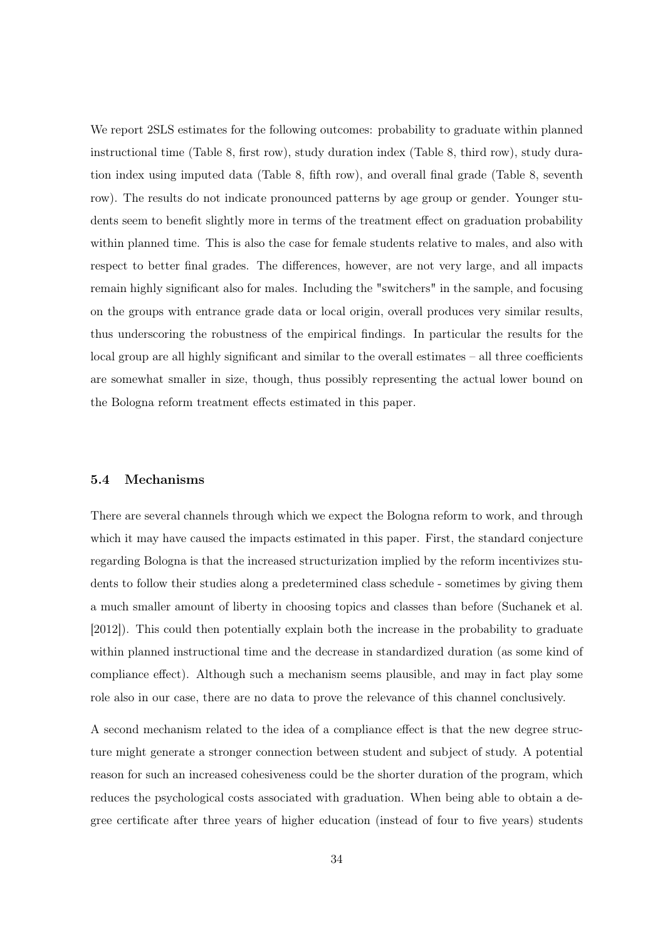We report 2SLS estimates for the following outcomes: probability to graduate within planned instructional time (Table [8,](#page-32-0) first row), study duration index (Table [8,](#page-32-0) third row), study duration index using imputed data (Table [8,](#page-32-0) fifth row), and overall final grade (Table [8,](#page-32-0) seventh row). The results do not indicate pronounced patterns by age group or gender. Younger students seem to benefit slightly more in terms of the treatment effect on graduation probability within planned time. This is also the case for female students relative to males, and also with respect to better final grades. The differences, however, are not very large, and all impacts remain highly significant also for males. Including the "switchers" in the sample, and focusing on the groups with entrance grade data or local origin, overall produces very similar results, thus underscoring the robustness of the empirical findings. In particular the results for the local group are all highly significant and similar to the overall estimates – all three coefficients are somewhat smaller in size, though, thus possibly representing the actual lower bound on the Bologna reform treatment effects estimated in this paper.

#### 5.4 Mechanisms

There are several channels through which we expect the Bologna reform to work, and through which it may have caused the impacts estimated in this paper. First, the standard conjecture regarding Bologna is that the increased structurization implied by the reform incentivizes students to follow their studies along a predetermined class schedule - sometimes by giving them a much smaller amount of liberty in choosing topics and classes than before (Suchanek et al. [\[2012\]](#page-39-4)). This could then potentially explain both the increase in the probability to graduate within planned instructional time and the decrease in standardized duration (as some kind of compliance effect). Although such a mechanism seems plausible, and may in fact play some role also in our case, there are no data to prove the relevance of this channel conclusively.

A second mechanism related to the idea of a compliance effect is that the new degree structure might generate a stronger connection between student and subject of study. A potential reason for such an increased cohesiveness could be the shorter duration of the program, which reduces the psychological costs associated with graduation. When being able to obtain a degree certificate after three years of higher education (instead of four to five years) students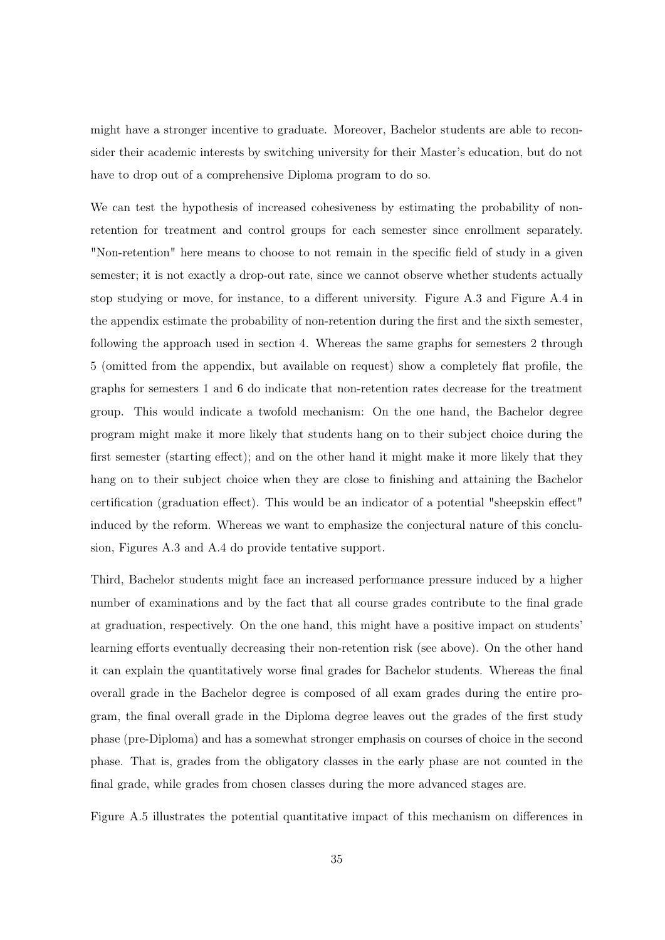might have a stronger incentive to graduate. Moreover, Bachelor students are able to reconsider their academic interests by switching university for their Master's education, but do not have to drop out of a comprehensive Diploma program to do so.

We can test the hypothesis of increased cohesiveness by estimating the probability of nonretention for treatment and control groups for each semester since enrollment separately. "Non-retention" here means to choose to not remain in the specific field of study in a given semester; it is not exactly a drop-out rate, since we cannot observe whether students actually stop studying or move, for instance, to a different university. Figure [A.3](#page-41-1) and Figure [A.4](#page-42-0) in the appendix estimate the probability of non-retention during the first and the sixth semester, following the approach used in section 4. Whereas the same graphs for semesters 2 through 5 (omitted from the appendix, but available on request) show a completely flat profile, the graphs for semesters 1 and 6 do indicate that non-retention rates decrease for the treatment group. This would indicate a twofold mechanism: On the one hand, the Bachelor degree program might make it more likely that students hang on to their subject choice during the first semester (starting effect); and on the other hand it might make it more likely that they hang on to their subject choice when they are close to finishing and attaining the Bachelor certification (graduation effect). This would be an indicator of a potential "sheepskin effect" induced by the reform. Whereas we want to emphasize the conjectural nature of this conclusion, Figures [A.3](#page-41-1) and [A.4](#page-42-0) do provide tentative support.

Third, Bachelor students might face an increased performance pressure induced by a higher number of examinations and by the fact that all course grades contribute to the final grade at graduation, respectively. On the one hand, this might have a positive impact on students' learning efforts eventually decreasing their non-retention risk (see above). On the other hand it can explain the quantitatively worse final grades for Bachelor students. Whereas the final overall grade in the Bachelor degree is composed of all exam grades during the entire program, the final overall grade in the Diploma degree leaves out the grades of the first study phase (pre-Diploma) and has a somewhat stronger emphasis on courses of choice in the second phase. That is, grades from the obligatory classes in the early phase are not counted in the final grade, while grades from chosen classes during the more advanced stages are.

Figure [A.5](#page-42-1) illustrates the potential quantitative impact of this mechanism on differences in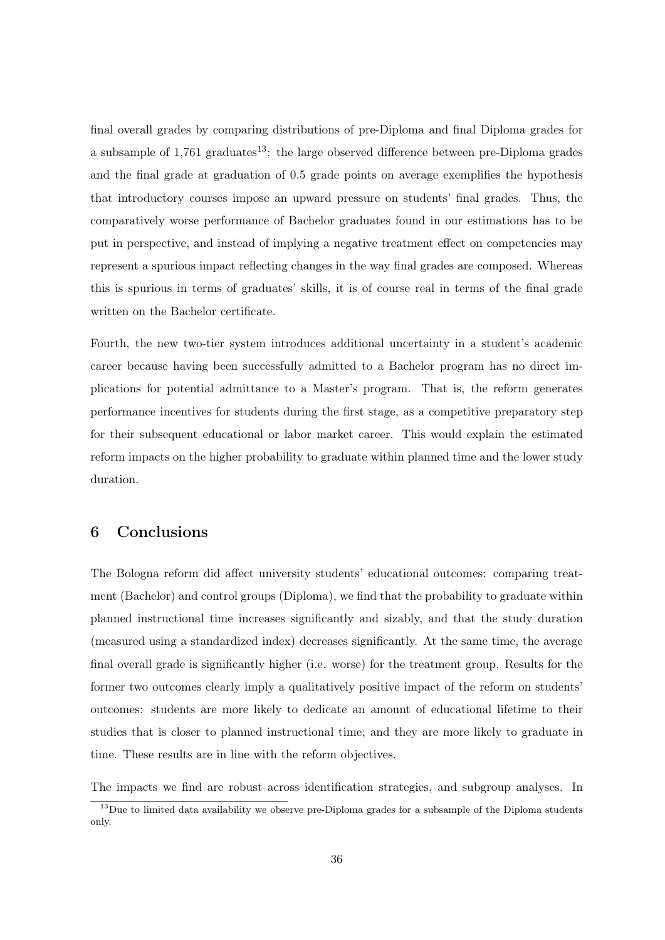final overall grades by comparing distributions of pre-Diploma and final Diploma grades for a subsample of  $1,761$  graduates<sup>[13](#page-35-0)</sup>: the large observed difference between pre-Diploma grades and the final grade at graduation of 0.5 grade points on average exemplifies the hypothesis that introductory courses impose an upward pressure on students' final grades. Thus, the comparatively worse performance of Bachelor graduates found in our estimations has to be put in perspective, and instead of implying a negative treatment effect on competencies may represent a spurious impact reflecting changes in the way final grades are composed. Whereas this is spurious in terms of graduates' skills, it is of course real in terms of the final grade written on the Bachelor certificate.

Fourth, the new two-tier system introduces additional uncertainty in a student's academic career because having been successfully admitted to a Bachelor program has no direct implications for potential admittance to a Master's program. That is, the reform generates performance incentives for students during the first stage, as a competitive preparatory step for their subsequent educational or labor market career. This would explain the estimated reform impacts on the higher probability to graduate within planned time and the lower study duration.

## 6 Conclusions

The Bologna reform did affect university students' educational outcomes: comparing treatment (Bachelor) and control groups (Diploma), we find that the probability to graduate within planned instructional time increases significantly and sizably, and that the study duration (measured using a standardized index) decreases significantly. At the same time, the average final overall grade is significantly higher (i.e. worse) for the treatment group. Results for the former two outcomes clearly imply a qualitatively positive impact of the reform on students' outcomes: students are more likely to dedicate an amount of educational lifetime to their studies that is closer to planned instructional time; and they are more likely to graduate in time. These results are in line with the reform objectives.

The impacts we find are robust across identification strategies, and subgroup analyses. In

<span id="page-35-0"></span> $13$ Due to limited data availability we observe pre-Diploma grades for a subsample of the Diploma students only.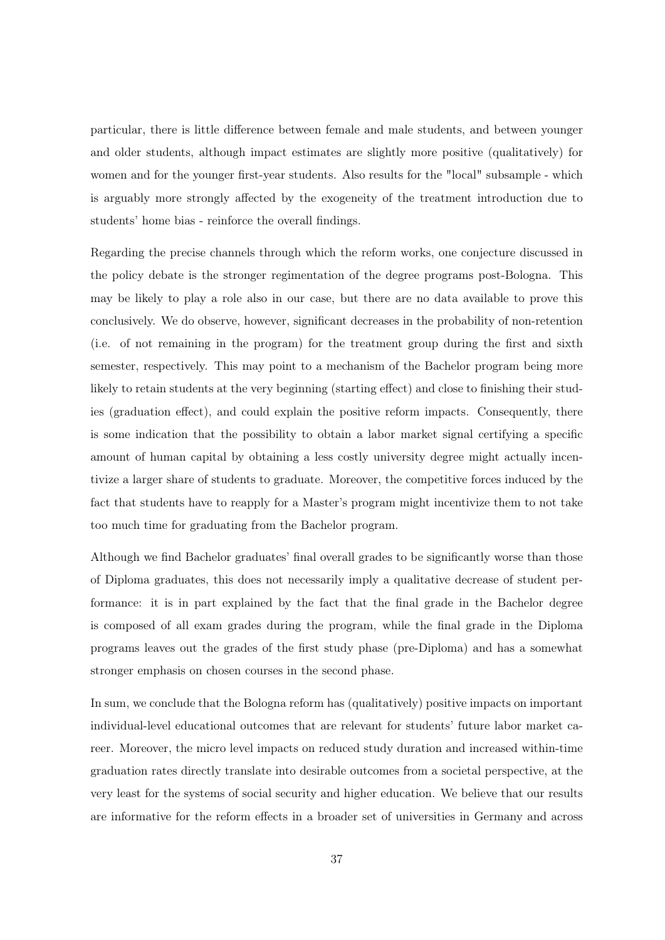particular, there is little difference between female and male students, and between younger and older students, although impact estimates are slightly more positive (qualitatively) for women and for the younger first-year students. Also results for the "local" subsample - which is arguably more strongly affected by the exogeneity of the treatment introduction due to students' home bias - reinforce the overall findings.

Regarding the precise channels through which the reform works, one conjecture discussed in the policy debate is the stronger regimentation of the degree programs post-Bologna. This may be likely to play a role also in our case, but there are no data available to prove this conclusively. We do observe, however, significant decreases in the probability of non-retention (i.e. of not remaining in the program) for the treatment group during the first and sixth semester, respectively. This may point to a mechanism of the Bachelor program being more likely to retain students at the very beginning (starting effect) and close to finishing their studies (graduation effect), and could explain the positive reform impacts. Consequently, there is some indication that the possibility to obtain a labor market signal certifying a specific amount of human capital by obtaining a less costly university degree might actually incentivize a larger share of students to graduate. Moreover, the competitive forces induced by the fact that students have to reapply for a Master's program might incentivize them to not take too much time for graduating from the Bachelor program.

Although we find Bachelor graduates' final overall grades to be significantly worse than those of Diploma graduates, this does not necessarily imply a qualitative decrease of student performance: it is in part explained by the fact that the final grade in the Bachelor degree is composed of all exam grades during the program, while the final grade in the Diploma programs leaves out the grades of the first study phase (pre-Diploma) and has a somewhat stronger emphasis on chosen courses in the second phase.

In sum, we conclude that the Bologna reform has (qualitatively) positive impacts on important individual-level educational outcomes that are relevant for students' future labor market career. Moreover, the micro level impacts on reduced study duration and increased within-time graduation rates directly translate into desirable outcomes from a societal perspective, at the very least for the systems of social security and higher education. We believe that our results are informative for the reform effects in a broader set of universities in Germany and across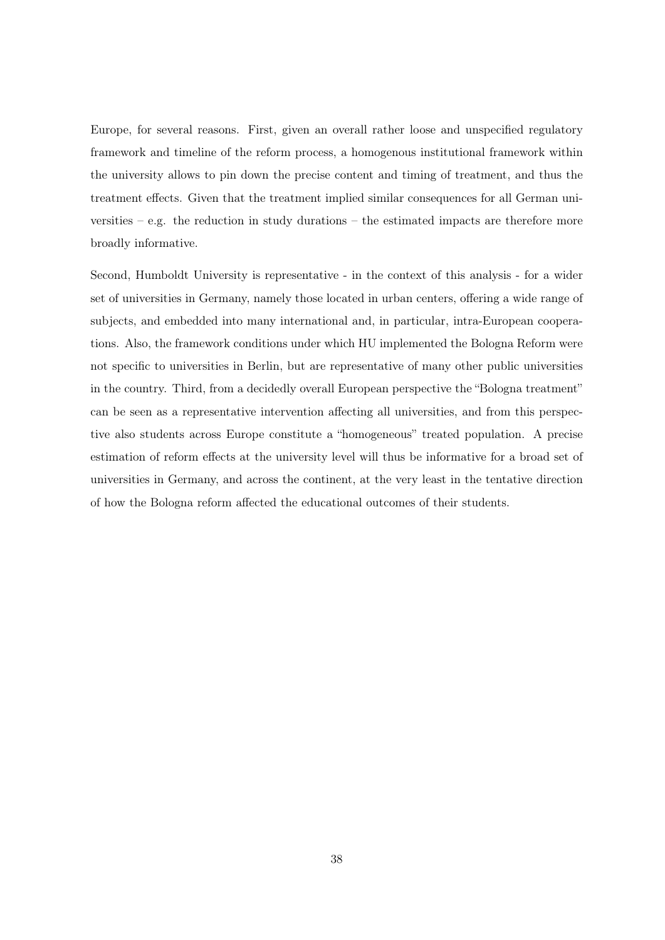Europe, for several reasons. First, given an overall rather loose and unspecified regulatory framework and timeline of the reform process, a homogenous institutional framework within the university allows to pin down the precise content and timing of treatment, and thus the treatment effects. Given that the treatment implied similar consequences for all German universities – e.g. the reduction in study durations – the estimated impacts are therefore more broadly informative.

Second, Humboldt University is representative - in the context of this analysis - for a wider set of universities in Germany, namely those located in urban centers, offering a wide range of subjects, and embedded into many international and, in particular, intra-European cooperations. Also, the framework conditions under which HU implemented the Bologna Reform were not specific to universities in Berlin, but are representative of many other public universities in the country. Third, from a decidedly overall European perspective the "Bologna treatment" can be seen as a representative intervention affecting all universities, and from this perspective also students across Europe constitute a "homogeneous" treated population. A precise estimation of reform effects at the university level will thus be informative for a broad set of universities in Germany, and across the continent, at the very least in the tentative direction of how the Bologna reform affected the educational outcomes of their students.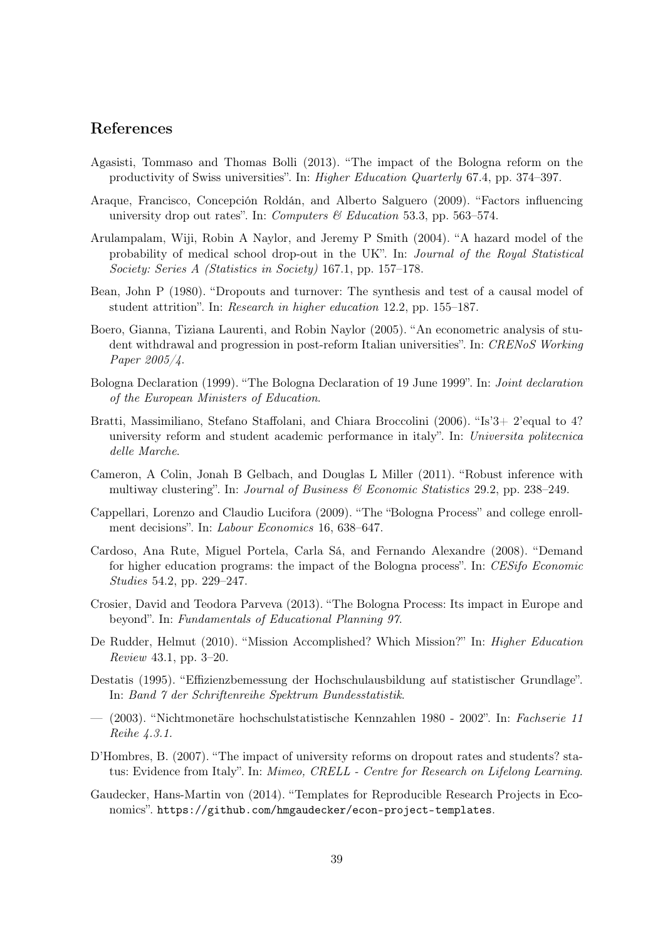## References

- <span id="page-38-8"></span>Agasisti, Tommaso and Thomas Bolli (2013). "The impact of the Bologna reform on the productivity of Swiss universities". In: Higher Education Quarterly 67.4, pp. 374–397.
- <span id="page-38-12"></span>Araque, Francisco, Concepción Roldán, and Alberto Salguero (2009). "Factors influencing university drop out rates". In: Computers & Education 53.3, pp. 563–574.
- <span id="page-38-11"></span>Arulampalam, Wiji, Robin A Naylor, and Jeremy P Smith (2004). "A hazard model of the probability of medical school drop-out in the UK". In: Journal of the Royal Statistical Society: Series A (Statistics in Society) 167.1, pp. 157–178.
- <span id="page-38-10"></span>Bean, John P (1980). "Dropouts and turnover: The synthesis and test of a causal model of student attrition". In: Research in higher education 12.2, pp. 155–187.
- <span id="page-38-9"></span>Boero, Gianna, Tiziana Laurenti, and Robin Naylor (2005). "An econometric analysis of student withdrawal and progression in post-reform Italian universities". In: CRENoS Working Paper 2005/4.
- <span id="page-38-2"></span>Bologna Declaration (1999). "The Bologna Declaration of 19 June 1999". In: Joint declaration of the European Ministers of Education.
- <span id="page-38-5"></span>Bratti, Massimiliano, Stefano Staffolani, and Chiara Broccolini (2006). "Is'3+ 2'equal to 4? university reform and student academic performance in italy". In: Universita politecnica delle Marche.
- <span id="page-38-15"></span>Cameron, A Colin, Jonah B Gelbach, and Douglas L Miller (2011). "Robust inference with multiway clustering". In: Journal of Business  $\mathcal{B}$  Economic Statistics 29.2, pp. 238–249.
- <span id="page-38-13"></span>Cappellari, Lorenzo and Claudio Lucifora (2009). "The "Bologna Process" and college enrollment decisions". In: Labour Economics 16, 638–647.
- <span id="page-38-7"></span>Cardoso, Ana Rute, Miguel Portela, Carla Sá, and Fernando Alexandre (2008). "Demand for higher education programs: the impact of the Bologna process". In: CESifo Economic Studies 54.2, pp. 229–247.
- <span id="page-38-6"></span>Crosier, David and Teodora Parveva (2013). "The Bologna Process: Its impact in Europe and beyond". In: Fundamentals of Educational Planning 97.
- <span id="page-38-1"></span>De Rudder, Helmut (2010). "Mission Accomplished? Which Mission?" In: Higher Education Review 43.1, pp. 3–20.
- <span id="page-38-3"></span>Destatis (1995). "Effizienzbemessung der Hochschulausbildung auf statistischer Grundlage". In: Band 7 der Schriftenreihe Spektrum Bundesstatistik.
- <span id="page-38-4"></span>— (2003). "Nichtmonetäre hochschulstatistische Kennzahlen 1980 - 2002". In: Fachserie 11 Reihe 4.3.1.
- <span id="page-38-14"></span>D'Hombres, B. (2007). "The impact of university reforms on dropout rates and students? status: Evidence from Italy". In: Mimeo, CRELL - Centre for Research on Lifelong Learning.
- <span id="page-38-0"></span>Gaudecker, Hans-Martin von (2014). "Templates for Reproducible Research Projects in Economics". <https://github.com/hmgaudecker/econ-project-templates>.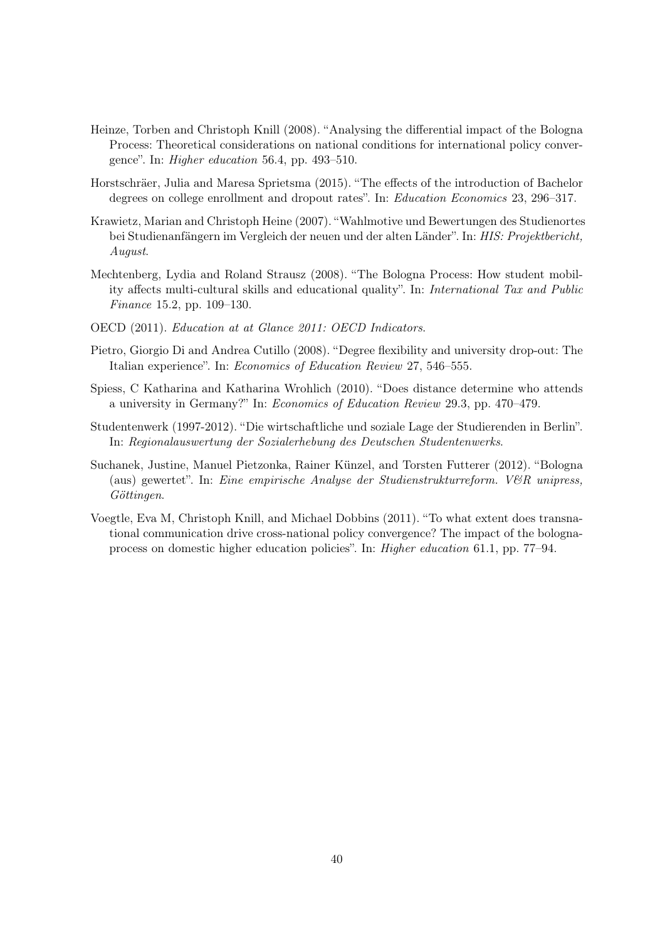- <span id="page-39-3"></span>Heinze, Torben and Christoph Knill (2008). "Analysing the differential impact of the Bologna Process: Theoretical considerations on national conditions for international policy convergence". In: Higher education 56.4, pp. 493–510.
- <span id="page-39-0"></span>Horstschräer, Julia and Maresa Sprietsma (2015). "The effects of the introduction of Bachelor degrees on college enrollment and dropout rates". In: Education Economics 23, 296–317.
- <span id="page-39-8"></span>Krawietz, Marian and Christoph Heine (2007). "Wahlmotive und Bewertungen des Studienortes bei Studienanfängern im Vergleich der neuen und der alten Länder". In: HIS: Projektbericht, August.
- <span id="page-39-5"></span>Mechtenberg, Lydia and Roland Strausz (2008). "The Bologna Process: How student mobility affects multi-cultural skills and educational quality". In: International Tax and Public Finance 15.2, pp. 109–130.
- <span id="page-39-1"></span>OECD (2011). Education at at Glance 2011: OECD Indicators.
- <span id="page-39-6"></span>Pietro, Giorgio Di and Andrea Cutillo (2008). "Degree flexibility and university drop-out: The Italian experience". In: Economics of Education Review 27, 546–555.
- <span id="page-39-9"></span>Spiess, C Katharina and Katharina Wrohlich (2010). "Does distance determine who attends a university in Germany?" In: Economics of Education Review 29.3, pp. 470–479.
- <span id="page-39-7"></span>Studentenwerk (1997-2012). "Die wirtschaftliche und soziale Lage der Studierenden in Berlin". In: Regionalauswertung der Sozialerhebung des Deutschen Studentenwerks.
- <span id="page-39-4"></span>Suchanek, Justine, Manuel Pietzonka, Rainer Künzel, and Torsten Futterer (2012). "Bologna (aus) gewertet". In: Eine empirische Analyse der Studienstrukturreform. V&R unipress, Göttingen.
- <span id="page-39-2"></span>Voegtle, Eva M, Christoph Knill, and Michael Dobbins (2011). "To what extent does transnational communication drive cross-national policy convergence? The impact of the bolognaprocess on domestic higher education policies". In: Higher education 61.1, pp. 77–94.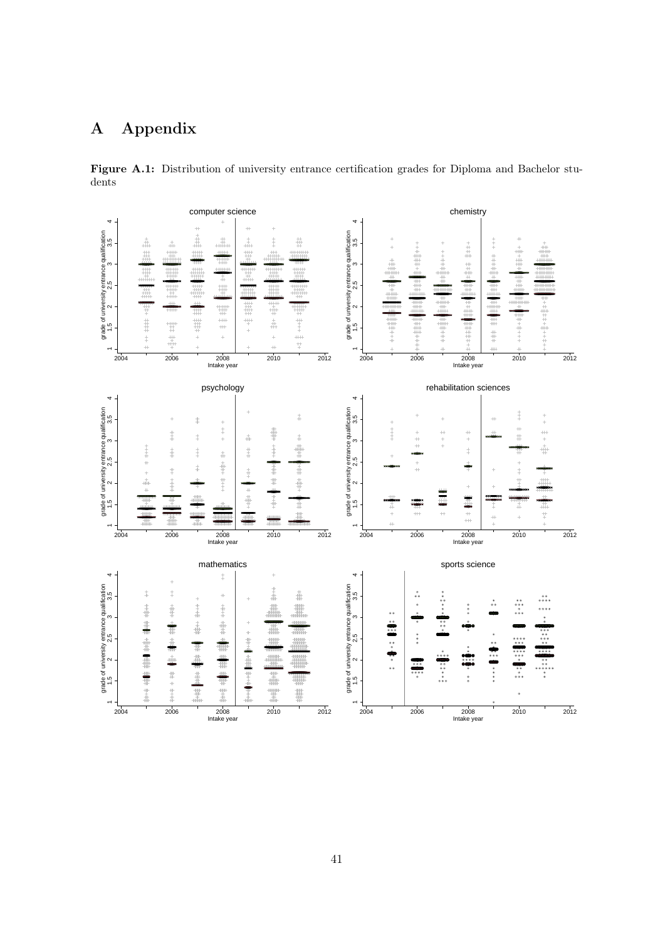# A Appendix



<span id="page-40-0"></span>Figure A.1: Distribution of university entrance certification grades for Diploma and Bachelor students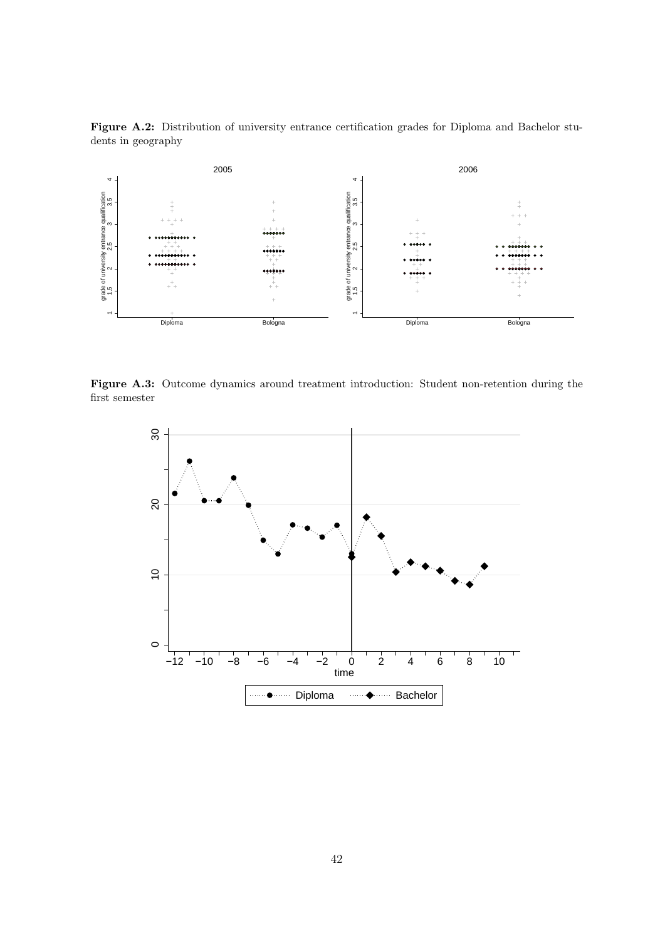<span id="page-41-0"></span>Figure A.2: Distribution of university entrance certification grades for Diploma and Bachelor students in geography



<span id="page-41-1"></span>Figure A.3: Outcome dynamics around treatment introduction: Student non-retention during the first semester